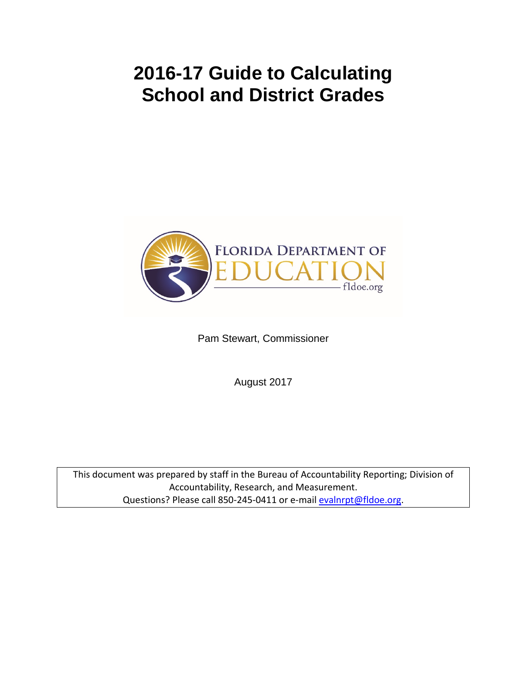# **2016-17 Guide to Calculating School and District Grades**



Pam Stewart, Commissioner

August 2017

This document was prepared by staff in the Bureau of Accountability Reporting; Division of Accountability, Research, and Measurement. Questions? Please call 850-245-0411 or e-mai[l evalnrpt@fldoe.org.](mailto:evalnrpt@fldoe.org)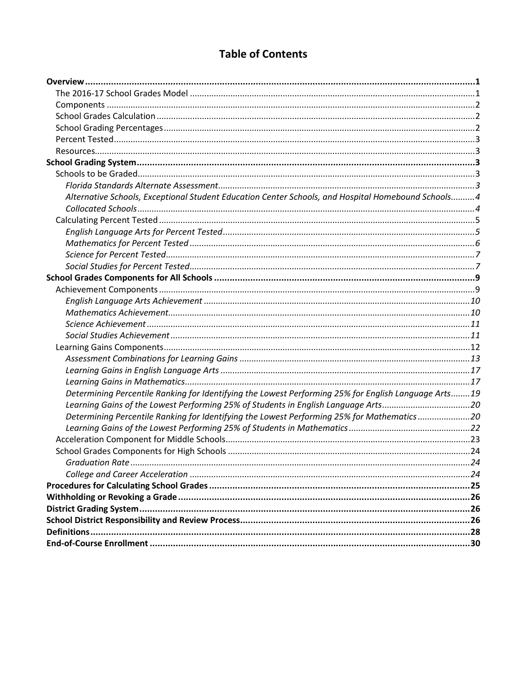# **Table of Contents**

| Alternative Schools, Exceptional Student Education Center Schools, and Hospital Homebound Schools 4  |  |
|------------------------------------------------------------------------------------------------------|--|
|                                                                                                      |  |
|                                                                                                      |  |
|                                                                                                      |  |
|                                                                                                      |  |
|                                                                                                      |  |
|                                                                                                      |  |
|                                                                                                      |  |
|                                                                                                      |  |
|                                                                                                      |  |
|                                                                                                      |  |
|                                                                                                      |  |
|                                                                                                      |  |
|                                                                                                      |  |
|                                                                                                      |  |
|                                                                                                      |  |
|                                                                                                      |  |
| Determining Percentile Ranking for Identifying the Lowest Performing 25% for English Language Arts19 |  |
| Learning Gains of the Lowest Performing 25% of Students in English Language Arts20                   |  |
| Determining Percentile Ranking for Identifying the Lowest Performing 25% for Mathematics20           |  |
|                                                                                                      |  |
|                                                                                                      |  |
|                                                                                                      |  |
|                                                                                                      |  |
|                                                                                                      |  |
|                                                                                                      |  |
|                                                                                                      |  |
|                                                                                                      |  |
|                                                                                                      |  |
|                                                                                                      |  |
|                                                                                                      |  |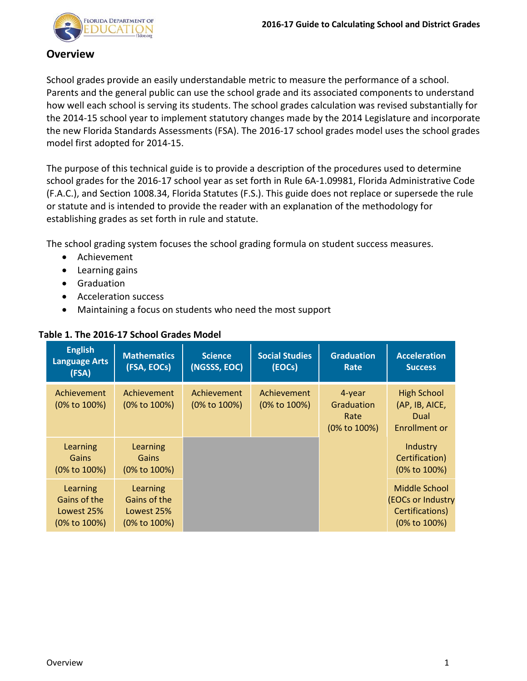

## <span id="page-2-0"></span>**Overview**

School grades provide an easily understandable metric to measure the performance of a school. Parents and the general public can use the school grade and its associated components to understand how well each school is serving its students. The school grades calculation was revised substantially for the 2014-15 school year to implement statutory changes made by the 2014 Legislature and incorporate the new Florida Standards Assessments (FSA). The 2016-17 school grades model uses the school grades model first adopted for 2014-15.

The purpose of this technical guide is to provide a description of the procedures used to determine school grades for the 2016-17 school year as set forth in Rule 6A-1.09981, Florida Administrative Code (F.A.C.), and Section 1008.34, Florida Statutes (F.S.). This guide does not replace or supersede the rule or statute and is intended to provide the reader with an explanation of the methodology for establishing grades as set forth in rule and statute.

The school grading system focuses the school grading formula on student success measures.

- Achievement
- Learning gains
- Graduation
- Acceleration success
- <span id="page-2-1"></span>• Maintaining a focus on students who need the most support

| <b>English</b><br><b>Language Arts</b><br>(FSA)        | <b>Mathematics</b><br>(FSA, EOCs)                      | Science<br>(NGSSS, EOC)     | <b>Social Studies</b><br>(EOCs) | <b>Graduation</b><br>Rate                    | <b>Acceleration</b><br><b>Success</b>                                        |
|--------------------------------------------------------|--------------------------------------------------------|-----------------------------|---------------------------------|----------------------------------------------|------------------------------------------------------------------------------|
| Achievement<br>(0% to 100%)                            | Achievement<br>(0% to 100%)                            | Achievement<br>(0% to 100%) | Achievement<br>(0% to 100%)     | 4-year<br>Graduation<br>Rate<br>(0% to 100%) | <b>High School</b><br>(AP, IB, AICE,<br>Dual<br>Enrollment or                |
| Learning<br><b>Gains</b><br>(0% to 100%)               | Learning<br>Gains<br>$(0\% \text{ to } 100\%)$         |                             |                                 |                                              | Industry<br>Certification)<br>(0% to 100%)                                   |
| Learning<br>Gains of the<br>Lowest 25%<br>(0% to 100%) | Learning<br>Gains of the<br>Lowest 25%<br>(0% to 100%) |                             |                                 |                                              | Middle School<br><b>(EOCs or Industry</b><br>Certifications)<br>(0% to 100%) |

## **Table 1. The 2016-17 School Grades Model**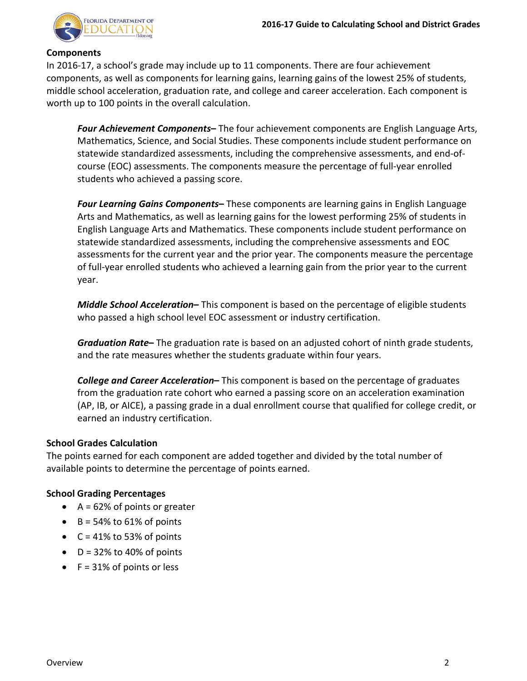

#### <span id="page-3-0"></span>**Components**

In 2016-17, a school's grade may include up to 11 components. There are four achievement components, as well as components for learning gains, learning gains of the lowest 25% of students, middle school acceleration, graduation rate, and college and career acceleration. Each component is worth up to 100 points in the overall calculation.

*Four Achievement Components***–** The four achievement components are English Language Arts, Mathematics, Science, and Social Studies. These components include student performance on statewide standardized assessments, including the comprehensive assessments, and end-ofcourse (EOC) assessments. The components measure the percentage of full-year enrolled students who achieved a passing score.

*Four Learning Gains Components***–** These components are learning gains in English Language Arts and Mathematics, as well as learning gains for the lowest performing 25% of students in English Language Arts and Mathematics. These components include student performance on statewide standardized assessments, including the comprehensive assessments and EOC assessments for the current year and the prior year. The components measure the percentage of full-year enrolled students who achieved a learning gain from the prior year to the current year.

*Middle School Acceleration***–** This component is based on the percentage of eligible students who passed a high school level EOC assessment or industry certification.

*Graduation Rate***–** The graduation rate is based on an adjusted cohort of ninth grade students, and the rate measures whether the students graduate within four years.

<span id="page-3-1"></span>*College and Career Acceleration***–** This component is based on the percentage of graduates from the graduation rate cohort who earned a passing score on an acceleration examination (AP, IB, or AICE), a passing grade in a dual enrollment course that qualified for college credit, or earned an industry certification.

#### **School Grades Calculation**

The points earned for each component are added together and divided by the total number of available points to determine the percentage of points earned.

#### **School Grading Percentages**

- <span id="page-3-2"></span>•  $A = 62\%$  of points or greater
- $\bullet$  B = 54% to 61% of points
- $C = 41\%$  to 53% of points
- $\bullet$  D = 32% to 40% of points
- $\bullet$  F = 31% of points or less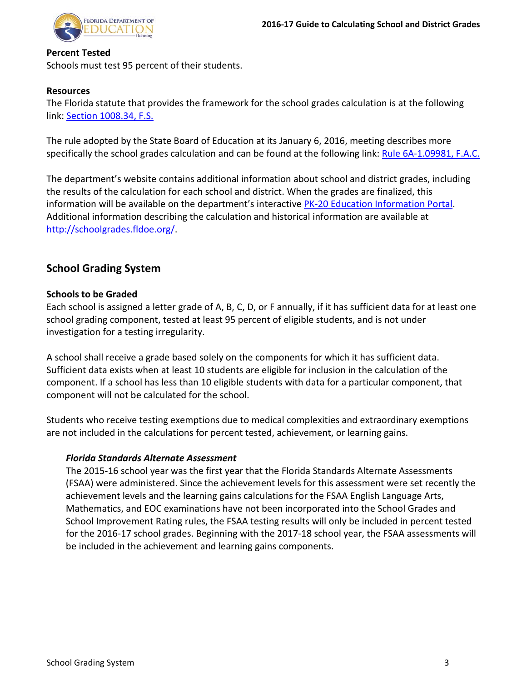

#### <span id="page-4-0"></span>**Percent Tested**

Schools must test 95 percent of their students.

## <span id="page-4-1"></span>**Resources**

The Florida statute that provides the framework for the school grades calculation is at the following link: [Section 1008.34, F.S.](http://www.leg.state.fl.us/Statutes/index.cfm?App_mode=Display_Statute&Search_String=&URL=1000-1099/1008/Sections/1008.34.html)

The rule adopted by the State Board of Education at its January 6, 2016, meeting describes more specifically the school grades calculation and can be found at the following link[: Rule 6A-1.09981, F.A.C.](https://www.flrules.org/gateway/ruleNo.asp?ID=6A-1.09981)

The department's website contains additional information about school and district grades, including the results of the calculation for each school and district. When the grades are finalized, this information will be available on the department's interactive [PK-20 Education Information Portal.](https://edstats.fldoe.org/) Additional information describing the calculation and historical information are available at [http://schoolgrades.fldoe.org/.](http://schoolgrades.fldoe.org/)

# <span id="page-4-2"></span>**School Grading System**

#### <span id="page-4-3"></span>**Schools to be Graded**

Each school is assigned a letter grade of A, B, C, D, or F annually, if it has sufficient data for at least one school grading component, tested at least 95 percent of eligible students, and is not under investigation for a testing irregularity.

A school shall receive a grade based solely on the components for which it has sufficient data. Sufficient data exists when at least 10 students are eligible for inclusion in the calculation of the component. If a school has less than 10 eligible students with data for a particular component, that component will not be calculated for the school.

Students who receive testing exemptions due to medical complexities and extraordinary exemptions are not included in the calculations for percent tested, achievement, or learning gains.

## <span id="page-4-4"></span>*Florida Standards Alternate Assessment*

The 2015-16 school year was the first year that the Florida Standards Alternate Assessments (FSAA) were administered. Since the achievement levels for this assessment were set recently the achievement levels and the learning gains calculations for the FSAA English Language Arts, Mathematics, and EOC examinations have not been incorporated into the School Grades and School Improvement Rating rules, the FSAA testing results will only be included in percent tested for the 2016-17 school grades. Beginning with the 2017-18 school year, the FSAA assessments will be included in the achievement and learning gains components.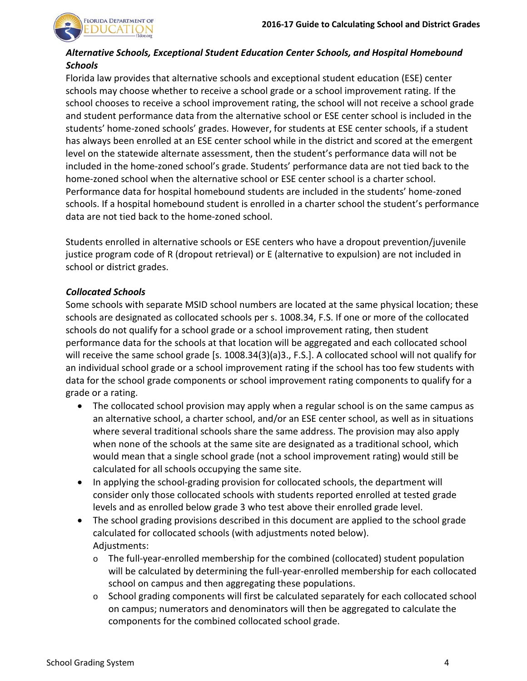

## <span id="page-5-0"></span>*Alternative Schools, Exceptional Student Education Center Schools, and Hospital Homebound Schools*

Florida law provides that alternative schools and exceptional student education (ESE) center schools may choose whether to receive a school grade or a school improvement rating. If the school chooses to receive a school improvement rating, the school will not receive a school grade and student performance data from the alternative school or ESE center school is included in the students' home-zoned schools' grades. However, for students at ESE center schools, if a student has always been enrolled at an ESE center school while in the district and scored at the emergent level on the statewide alternate assessment, then the student's performance data will not be included in the home-zoned school's grade. Students' performance data are not tied back to the home-zoned school when the alternative school or ESE center school is a charter school. Performance data for hospital homebound students are included in the students' home-zoned schools. If a hospital homebound student is enrolled in a charter school the student's performance data are not tied back to the home-zoned school.

Students enrolled in alternative schools or ESE centers who have a dropout prevention/juvenile justice program code of R (dropout retrieval) or E (alternative to expulsion) are not included in school or district grades.

#### <span id="page-5-1"></span>*Collocated Schools*

Some schools with separate MSID school numbers are located at the same physical location; these schools are designated as collocated schools per s. 1008.34, F.S. If one or more of the collocated schools do not qualify for a school grade or a school improvement rating, then student performance data for the schools at that location will be aggregated and each collocated school will receive the same school grade [s. 1008.34(3)(a)3., F.S.]. A collocated school will not qualify for an individual school grade or a school improvement rating if the school has too few students with data for the school grade components or school improvement rating components to qualify for a grade or a rating.

- The collocated school provision may apply when a regular school is on the same campus as an alternative school, a charter school, and/or an ESE center school, as well as in situations where several traditional schools share the same address. The provision may also apply when none of the schools at the same site are designated as a traditional school, which would mean that a single school grade (not a school improvement rating) would still be calculated for all schools occupying the same site.
- In applying the school-grading provision for collocated schools, the department will consider only those collocated schools with students reported enrolled at tested grade levels and as enrolled below grade 3 who test above their enrolled grade level.
- The school grading provisions described in this document are applied to the school grade calculated for collocated schools (with adjustments noted below). Adjustments:
	- $\circ$  The full-year-enrolled membership for the combined (collocated) student population will be calculated by determining the full-year-enrolled membership for each collocated school on campus and then aggregating these populations.
	- $\circ$  School grading components will first be calculated separately for each collocated school on campus; numerators and denominators will then be aggregated to calculate the components for the combined collocated school grade.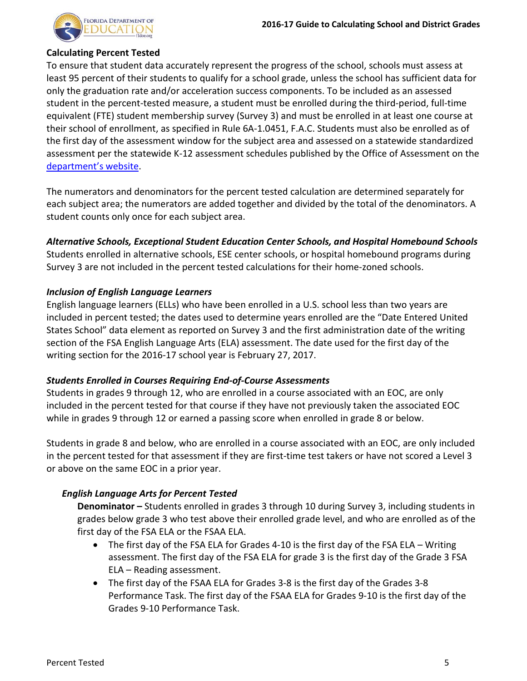

#### <span id="page-6-0"></span>**Calculating Percent Tested**

To ensure that student data accurately represent the progress of the school, schools must assess at least 95 percent of their students to qualify for a school grade, unless the school has sufficient data for only the graduation rate and/or acceleration success components. To be included as an assessed student in the percent-tested measure, a student must be enrolled during the third-period, full-time equivalent (FTE) student membership survey (Survey 3) and must be enrolled in at least one course at their school of enrollment, as specified in Rule 6A-1.0451, F.A.C. Students must also be enrolled as of the first day of the assessment window for the subject area and assessed on a statewide standardized assessment per the statewide K-12 assessment schedules published by the Office of Assessment on the [department's website.](http://www.fldoe.org/accountability/assessments/k-12-student-assessment/assessment-schedules.stml)

The numerators and denominators for the percent tested calculation are determined separately for each subject area; the numerators are added together and divided by the total of the denominators. A student counts only once for each subject area.

*Alternative Schools, Exceptional Student Education Center Schools, and Hospital Homebound Schools*

Students enrolled in alternative schools, ESE center schools, or hospital homebound programs during Survey 3 are not included in the percent tested calculations for their home-zoned schools.

## *Inclusion of English Language Learners*

English language learners (ELLs) who have been enrolled in a U.S. school less than two years are included in percent tested; the dates used to determine years enrolled are the "Date Entered United States School" data element as reported on Survey 3 and the first administration date of the writing section of the FSA English Language Arts (ELA) assessment. The date used for the first day of the writing section for the 2016-17 school year is February 27, 2017.

## *Students Enrolled in Courses Requiring End-of-Course Assessments*

Students in grades 9 through 12, who are enrolled in a course associated with an EOC, are only included in the percent tested for that course if they have not previously taken the associated EOC while in grades 9 through 12 or earned a passing score when enrolled in grade 8 or below.

Students in grade 8 and below, who are enrolled in a course associated with an EOC, are only included in the percent tested for that assessment if they are first-time test takers or have not scored a Level 3 or above on the same EOC in a prior year.

## *English Language Arts for Percent Tested*

**Denominator –** Students enrolled in grades 3 through 10 during Survey 3, including students in grades below grade 3 who test above their enrolled grade level, and who are enrolled as of the first day of the FSA ELA or the FSAA ELA.

- <span id="page-6-1"></span>• The first day of the FSA ELA for Grades 4-10 is the first day of the FSA ELA – Writing assessment. The first day of the FSA ELA for grade 3 is the first day of the Grade 3 FSA ELA – Reading assessment.
- The first day of the FSAA ELA for Grades 3-8 is the first day of the Grades 3-8 Performance Task. The first day of the FSAA ELA for Grades 9-10 is the first day of the Grades 9-10 Performance Task.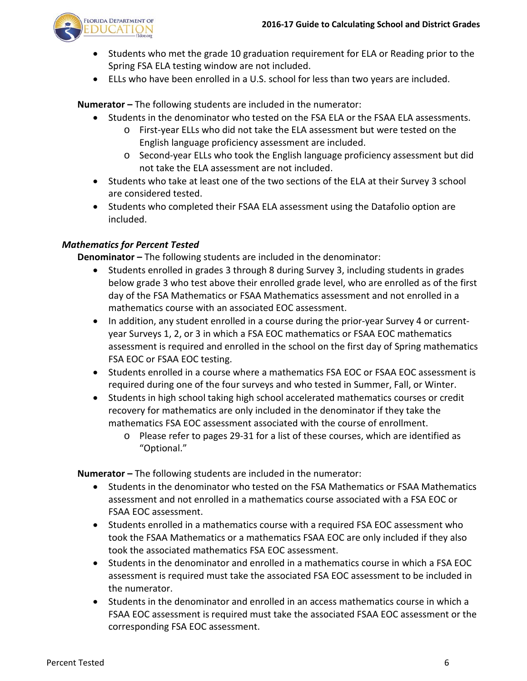

- Students who met the grade 10 graduation requirement for ELA or Reading prior to the Spring FSA ELA testing window are not included.
- ELLs who have been enrolled in a U.S. school for less than two years are included.

**Numerator –** The following students are included in the numerator:

- Students in the denominator who tested on the FSA ELA or the FSAA ELA assessments.
	- o First-year ELLs who did not take the ELA assessment but were tested on the English language proficiency assessment are included.
	- o Second-year ELLs who took the English language proficiency assessment but did not take the ELA assessment are not included.
- Students who take at least one of the two sections of the ELA at their Survey 3 school are considered tested.
- Students who completed their FSAA ELA assessment using the Datafolio option are included.

#### *Mathematics for Percent Tested*

**Denominator –** The following students are included in the denominator:

- <span id="page-7-0"></span>• Students enrolled in grades 3 through 8 during Survey 3, including students in grades below grade 3 who test above their enrolled grade level, who are enrolled as of the first day of the FSA Mathematics or FSAA Mathematics assessment and not enrolled in a mathematics course with an associated EOC assessment.
- In addition, any student enrolled in a course during the prior-year Survey 4 or currentyear Surveys 1, 2, or 3 in which a FSA EOC mathematics or FSAA EOC mathematics assessment is required and enrolled in the school on the first day of Spring mathematics FSA EOC or FSAA EOC testing.
- Students enrolled in a course where a mathematics FSA EOC or FSAA EOC assessment is required during one of the four surveys and who tested in Summer, Fall, or Winter.
- Students in high school taking high school accelerated mathematics courses or credit recovery for mathematics are only included in the denominator if they take the mathematics FSA EOC assessment associated with the course of enrollment.
	- o Please refer to pages 29-31 for a list of these courses, which are identified as "Optional."

**Numerator –** The following students are included in the numerator:

- Students in the denominator who tested on the FSA Mathematics or FSAA Mathematics assessment and not enrolled in a mathematics course associated with a FSA EOC or FSAA EOC assessment.
- Students enrolled in a mathematics course with a required FSA EOC assessment who took the FSAA Mathematics or a mathematics FSAA EOC are only included if they also took the associated mathematics FSA EOC assessment.
- Students in the denominator and enrolled in a mathematics course in which a FSA EOC assessment is required must take the associated FSA EOC assessment to be included in the numerator.
- Students in the denominator and enrolled in an access mathematics course in which a FSAA EOC assessment is required must take the associated FSAA EOC assessment or the corresponding FSA EOC assessment.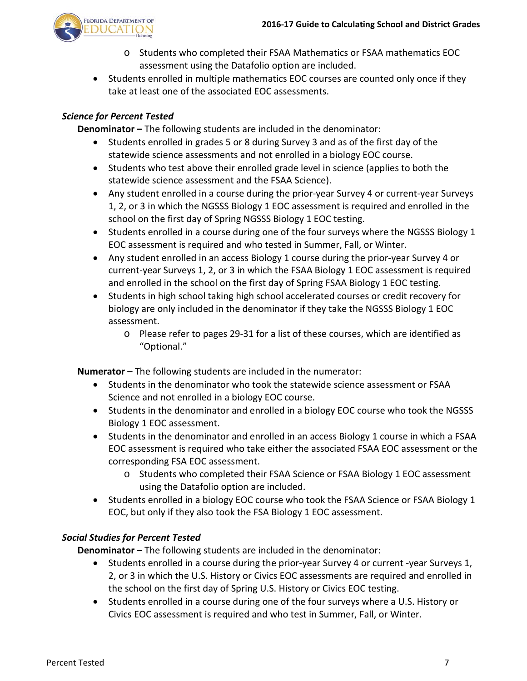

- <span id="page-8-0"></span>o Students who completed their FSAA Mathematics or FSAA mathematics EOC assessment using the Datafolio option are included.
- Students enrolled in multiple mathematics EOC courses are counted only once if they take at least one of the associated EOC assessments.

## *Science for Percent Tested*

**Denominator –** The following students are included in the denominator:

- Students enrolled in grades 5 or 8 during Survey 3 and as of the first day of the statewide science assessments and not enrolled in a biology EOC course.
- Students who test above their enrolled grade level in science (applies to both the statewide science assessment and the FSAA Science).
- Any student enrolled in a course during the prior-year Survey 4 or current-year Surveys 1, 2, or 3 in which the NGSSS Biology 1 EOC assessment is required and enrolled in the school on the first day of Spring NGSSS Biology 1 EOC testing.
- Students enrolled in a course during one of the four surveys where the NGSSS Biology 1 EOC assessment is required and who tested in Summer, Fall, or Winter.
- Any student enrolled in an access Biology 1 course during the prior-year Survey 4 or current-year Surveys 1, 2, or 3 in which the FSAA Biology 1 EOC assessment is required and enrolled in the school on the first day of Spring FSAA Biology 1 EOC testing.
- Students in high school taking high school accelerated courses or credit recovery for biology are only included in the denominator if they take the NGSSS Biology 1 EOC assessment.
	- o Please refer to pages 29-31 for a list of these courses, which are identified as "Optional."

**Numerator –** The following students are included in the numerator:

- Students in the denominator who took the statewide science assessment or FSAA Science and not enrolled in a biology EOC course.
- Students in the denominator and enrolled in a biology EOC course who took the NGSSS Biology 1 EOC assessment.
- Students in the denominator and enrolled in an access Biology 1 course in which a FSAA EOC assessment is required who take either the associated FSAA EOC assessment or the corresponding FSA EOC assessment.
	- o Students who completed their FSAA Science or FSAA Biology 1 EOC assessment using the Datafolio option are included.
- Students enrolled in a biology EOC course who took the FSAA Science or FSAA Biology 1 EOC, but only if they also took the FSA Biology 1 EOC assessment.

## *Social Studies for Percent Tested*

**Denominator –** The following students are included in the denominator:

- <span id="page-8-1"></span>• Students enrolled in a course during the prior-year Survey 4 or current -year Surveys 1, 2, or 3 in which the U.S. History or Civics EOC assessments are required and enrolled in the school on the first day of Spring U.S. History or Civics EOC testing.
- Students enrolled in a course during one of the four surveys where a U.S. History or Civics EOC assessment is required and who test in Summer, Fall, or Winter.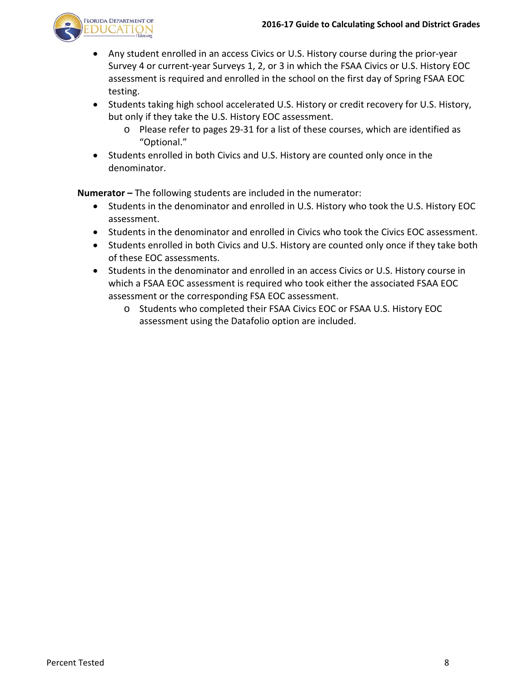

- Any student enrolled in an access Civics or U.S. History course during the prior-year Survey 4 or current-year Surveys 1, 2, or 3 in which the FSAA Civics or U.S. History EOC assessment is required and enrolled in the school on the first day of Spring FSAA EOC testing.
- Students taking high school accelerated U.S. History or credit recovery for U.S. History, but only if they take the U.S. History EOC assessment.
	- o Please refer to pages 29-31 for a list of these courses, which are identified as "Optional."
- Students enrolled in both Civics and U.S. History are counted only once in the denominator.

**Numerator –** The following students are included in the numerator:

- Students in the denominator and enrolled in U.S. History who took the U.S. History EOC assessment.
- Students in the denominator and enrolled in Civics who took the Civics EOC assessment.
- Students enrolled in both Civics and U.S. History are counted only once if they take both of these EOC assessments.
- Students in the denominator and enrolled in an access Civics or U.S. History course in which a FSAA EOC assessment is required who took either the associated FSAA EOC assessment or the corresponding FSA EOC assessment.
	- o Students who completed their FSAA Civics EOC or FSAA U.S. History EOC assessment using the Datafolio option are included.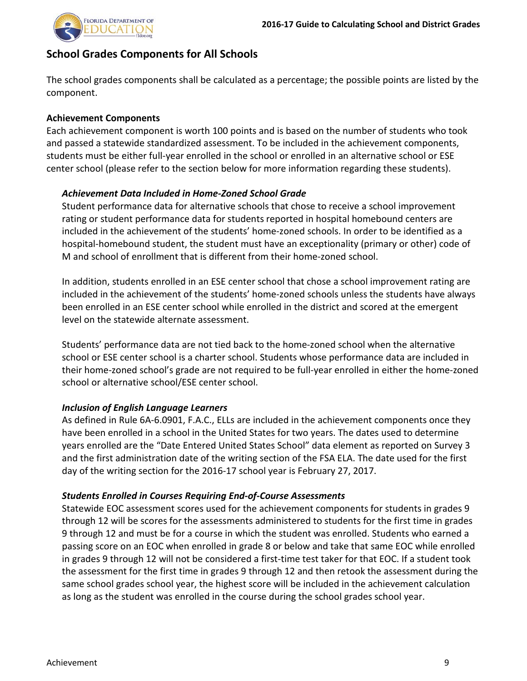

# <span id="page-10-0"></span>**School Grades Components for All Schools**

The school grades components shall be calculated as a percentage; the possible points are listed by the component.

## <span id="page-10-1"></span>**Achievement Components**

Each achievement component is worth 100 points and is based on the number of students who took and passed a statewide standardized assessment. To be included in the achievement components, students must be either full-year enrolled in the school or enrolled in an alternative school or ESE center school (please refer to the section below for more information regarding these students).

## *Achievement Data Included in Home-Zoned School Grade*

Student performance data for alternative schools that chose to receive a school improvement rating or student performance data for students reported in hospital homebound centers are included in the achievement of the students' home-zoned schools. In order to be identified as a hospital-homebound student, the student must have an exceptionality (primary or other) code of M and school of enrollment that is different from their home-zoned school.

In addition, students enrolled in an ESE center school that chose a school improvement rating are included in the achievement of the students' home-zoned schools unless the students have always been enrolled in an ESE center school while enrolled in the district and scored at the emergent level on the statewide alternate assessment.

Students' performance data are not tied back to the home-zoned school when the alternative school or ESE center school is a charter school. Students whose performance data are included in their home-zoned school's grade are not required to be full-year enrolled in either the home-zoned school or alternative school/ESE center school.

## *Inclusion of English Language Learners*

As defined in Rule 6A-6.0901, F.A.C., ELLs are included in the achievement components once they have been enrolled in a school in the United States for two years. The dates used to determine years enrolled are the "Date Entered United States School" data element as reported on Survey 3 and the first administration date of the writing section of the FSA ELA. The date used for the first day of the writing section for the 2016-17 school year is February 27, 2017.

## *Students Enrolled in Courses Requiring End-of-Course Assessments*

Statewide EOC assessment scores used for the achievement components for students in grades 9 through 12 will be scores for the assessments administered to students for the first time in grades 9 through 12 and must be for a course in which the student was enrolled. Students who earned a passing score on an EOC when enrolled in grade 8 or below and take that same EOC while enrolled in grades 9 through 12 will not be considered a first-time test taker for that EOC. If a student took the assessment for the first time in grades 9 through 12 and then retook the assessment during the same school grades school year, the highest score will be included in the achievement calculation as long as the student was enrolled in the course during the school grades school year.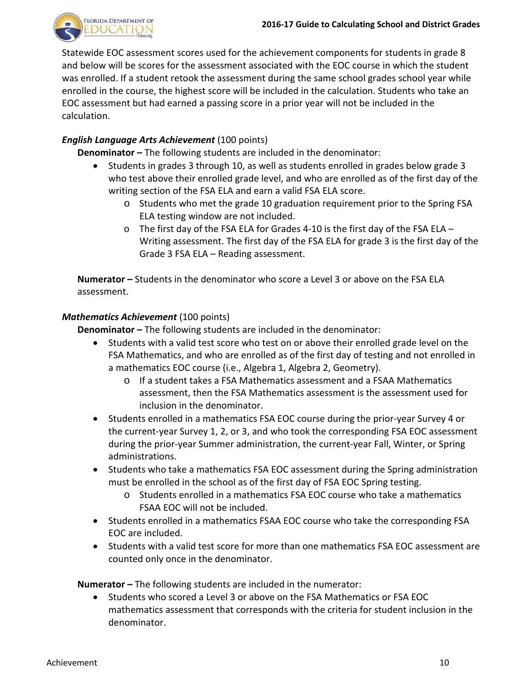

Statewide EOC assessment scores used for the achievement components for students in grade 8 and below will be scores for the assessment associated with the EOC course in which the student was enrolled. If a student retook the assessment during the same school grades school year while enrolled in the course, the highest score will be included in the calculation. Students who take an EOC assessment but had earned a passing score in a prior year will not be included in the calculation.

## *English Language Arts Achievement* (100 points)

**Denominator –** The following students are included in the denominator:

- <span id="page-11-0"></span>• Students in grades 3 through 10, as well as students enrolled in grades below grade 3 who test above their enrolled grade level, and who are enrolled as of the first day of the writing section of the FSA ELA and earn a valid FSA ELA score.
	- o Students who met the grade 10 graduation requirement prior to the Spring FSA ELA testing window are not included.
	- $\circ$  The first day of the FSA ELA for Grades 4-10 is the first day of the FSA ELA Writing assessment. The first day of the FSA ELA for grade 3 is the first day of the Grade 3 FSA ELA – Reading assessment.

**Numerator –** Students in the denominator who score a Level 3 or above on the FSA ELA assessment.

#### *Mathematics Achievement* (100 points)

**Denominator –** The following students are included in the denominator:

- <span id="page-11-1"></span>• Students with a valid test score who test on or above their enrolled grade level on the FSA Mathematics, and who are enrolled as of the first day of testing and not enrolled in a mathematics EOC course (i.e., Algebra 1, Algebra 2, Geometry).
	- o If a student takes a FSA Mathematics assessment and a FSAA Mathematics assessment, then the FSA Mathematics assessment is the assessment used for inclusion in the denominator.
- Students enrolled in a mathematics FSA EOC course during the prior-year Survey 4 or the current-year Survey 1, 2, or 3, and who took the corresponding FSA EOC assessment during the prior-year Summer administration, the current-year Fall, Winter, or Spring administrations.
- Students who take a mathematics FSA EOC assessment during the Spring administration must be enrolled in the school as of the first day of FSA EOC Spring testing.
	- o Students enrolled in a mathematics FSA EOC course who take a mathematics FSAA EOC will not be included.
- Students enrolled in a mathematics FSAA EOC course who take the corresponding FSA EOC are included.
- Students with a valid test score for more than one mathematics FSA EOC assessment are counted only once in the denominator.

**Numerator –** The following students are included in the numerator:

• Students who scored a Level 3 or above on the FSA Mathematics or FSA EOC mathematics assessment that corresponds with the criteria for student inclusion in the denominator.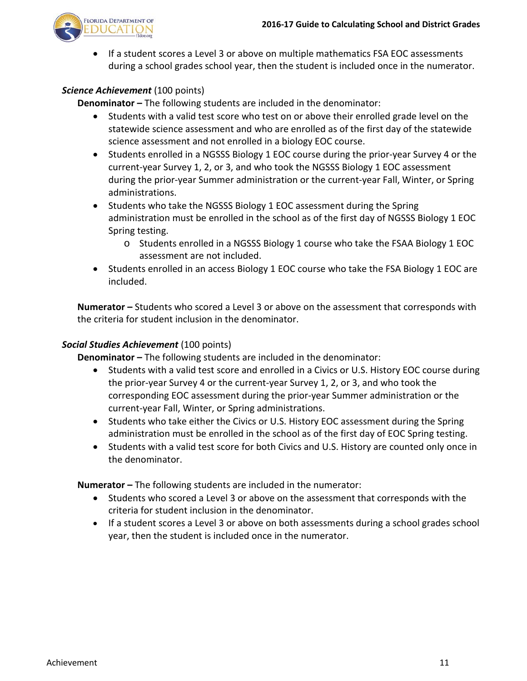

• If a student scores a Level 3 or above on multiple mathematics FSA EOC assessments during a school grades school year, then the student is included once in the numerator.

## *Science Achievement* (100 points)

**Denominator –** The following students are included in the denominator:

- <span id="page-12-0"></span>• Students with a valid test score who test on or above their enrolled grade level on the statewide science assessment and who are enrolled as of the first day of the statewide science assessment and not enrolled in a biology EOC course.
- Students enrolled in a NGSSS Biology 1 EOC course during the prior-year Survey 4 or the current-year Survey 1, 2, or 3, and who took the NGSSS Biology 1 EOC assessment during the prior-year Summer administration or the current-year Fall, Winter, or Spring administrations.
- Students who take the NGSSS Biology 1 EOC assessment during the Spring administration must be enrolled in the school as of the first day of NGSSS Biology 1 EOC Spring testing.
	- o Students enrolled in a NGSSS Biology 1 course who take the FSAA Biology 1 EOC assessment are not included.
- Students enrolled in an access Biology 1 EOC course who take the FSA Biology 1 EOC are included.

**Numerator –** Students who scored a Level 3 or above on the assessment that corresponds with the criteria for student inclusion in the denominator.

#### *Social Studies Achievement* (100 points)

**Denominator –** The following students are included in the denominator:

- <span id="page-12-1"></span>• Students with a valid test score and enrolled in a Civics or U.S. History EOC course during the prior-year Survey 4 or the current-year Survey 1, 2, or 3, and who took the corresponding EOC assessment during the prior-year Summer administration or the current-year Fall, Winter, or Spring administrations.
- Students who take either the Civics or U.S. History EOC assessment during the Spring administration must be enrolled in the school as of the first day of EOC Spring testing.
- Students with a valid test score for both Civics and U.S. History are counted only once in the denominator.

**Numerator –** The following students are included in the numerator:

- Students who scored a Level 3 or above on the assessment that corresponds with the criteria for student inclusion in the denominator.
- If a student scores a Level 3 or above on both assessments during a school grades school year, then the student is included once in the numerator.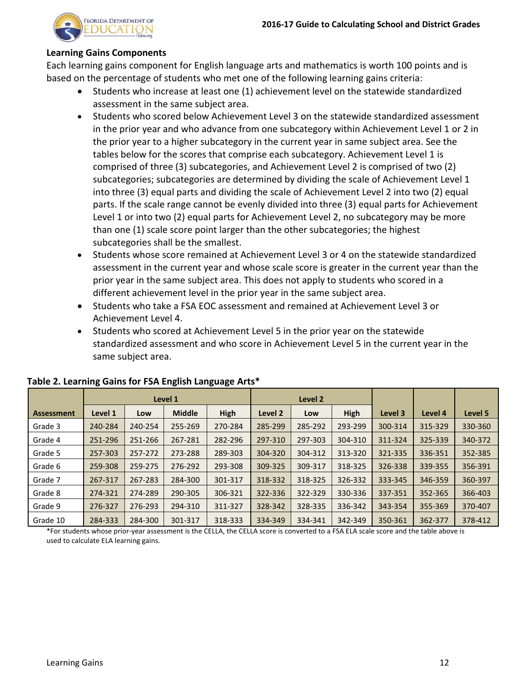

#### **Learning Gains Components**

Each learning gains component for English language arts and mathematics is worth 100 points and is based on the percentage of students who met one of the following learning gains criteria:

- <span id="page-13-0"></span>• Students who increase at least one (1) achievement level on the statewide standardized assessment in the same subject area.
- Students who scored below Achievement Level 3 on the statewide standardized assessment in the prior year and who advance from one subcategory within Achievement Level 1 or 2 in the prior year to a higher subcategory in the current year in same subject area. See the tables below for the scores that comprise each subcategory. Achievement Level 1 is comprised of three (3) subcategories, and Achievement Level 2 is comprised of two (2) subcategories; subcategories are determined by dividing the scale of Achievement Level 1 into three (3) equal parts and dividing the scale of Achievement Level 2 into two (2) equal parts. If the scale range cannot be evenly divided into three (3) equal parts for Achievement Level 1 or into two (2) equal parts for Achievement Level 2, no subcategory may be more than one (1) scale score point larger than the other subcategories; the highest subcategories shall be the smallest.
- Students whose score remained at Achievement Level 3 or 4 on the statewide standardized assessment in the current year and whose scale score is greater in the current year than the prior year in the same subject area. This does not apply to students who scored in a different achievement level in the prior year in the same subject area.
- Students who take a FSA EOC assessment and remained at Achievement Level 3 or Achievement Level 4.
- Students who scored at Achievement Level 5 in the prior year on the statewide standardized assessment and who score in Achievement Level 5 in the current year in the same subject area.

|                   |         |         | Level 1       |             |         |         | Level <sub>2</sub> |         |         |         |
|-------------------|---------|---------|---------------|-------------|---------|---------|--------------------|---------|---------|---------|
| <b>Assessment</b> | Level 1 | Low     | <b>Middle</b> | <b>High</b> | Level 2 | Low     | <b>High</b>        | Level 3 | Level 4 | Level 5 |
| Grade 3           | 240-284 | 240-254 | 255-269       | 270-284     | 285-299 | 285-292 | 293-299            | 300-314 | 315-329 | 330-360 |
| Grade 4           | 251-296 | 251-266 | 267-281       | 282-296     | 297-310 | 297-303 | 304-310            | 311-324 | 325-339 | 340-372 |
| Grade 5           | 257-303 | 257-272 | 273-288       | 289-303     | 304-320 | 304-312 | 313-320            | 321-335 | 336-351 | 352-385 |
| Grade 6           | 259-308 | 259-275 | 276-292       | 293-308     | 309-325 | 309-317 | 318-325            | 326-338 | 339-355 | 356-391 |
| Grade 7           | 267-317 | 267-283 | 284-300       | 301-317     | 318-332 | 318-325 | 326-332            | 333-345 | 346-359 | 360-397 |
| Grade 8           | 274-321 | 274-289 | 290-305       | 306-321     | 322-336 | 322-329 | 330-336            | 337-351 | 352-365 | 366-403 |
| Grade 9           | 276-327 | 276-293 | 294-310       | 311-327     | 328-342 | 328-335 | 336-342            | 343-354 | 355-369 | 370-407 |
| Grade 10          | 284-333 | 284-300 | 301-317       | 318-333     | 334-349 | 334-341 | 342-349            | 350-361 | 362-377 | 378-412 |

#### **Table 2. Learning Gains for FSA English Language Arts\***

\*For students whose prior-year assessment is the CELLA, the CELLA score is converted to a FSA ELA scale score and the table above is used to calculate ELA learning gains.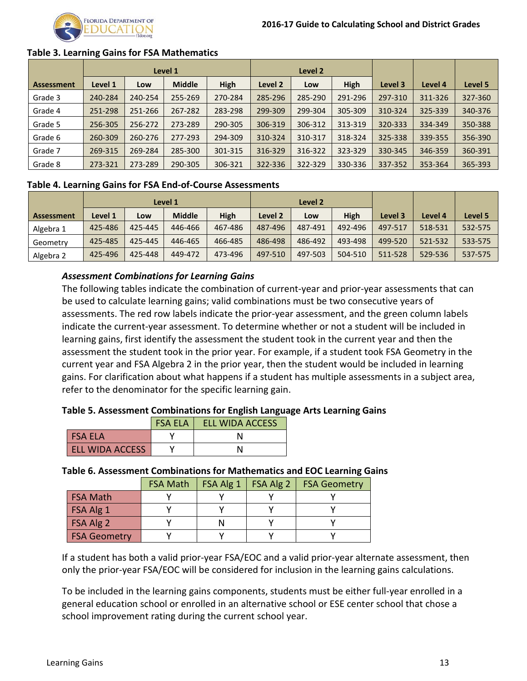

#### **Table 3. Learning Gains for FSA Mathematics**

|                   | Level 1 |         |               |             | Level 2 |         |         |         |         |         |
|-------------------|---------|---------|---------------|-------------|---------|---------|---------|---------|---------|---------|
| <b>Assessment</b> | Level 1 | Low     | <b>Middle</b> | <b>High</b> | Level 2 | Low     | High    | Level 3 | Level 4 | Level 5 |
| Grade 3           | 240-284 | 240-254 | 255-269       | 270-284     | 285-296 | 285-290 | 291-296 | 297-310 | 311-326 | 327-360 |
| Grade 4           | 251-298 | 251-266 | 267-282       | 283-298     | 299-309 | 299-304 | 305-309 | 310-324 | 325-339 | 340-376 |
| Grade 5           | 256-305 | 256-272 | 273-289       | 290-305     | 306-319 | 306-312 | 313-319 | 320-333 | 334-349 | 350-388 |
| Grade 6           | 260-309 | 260-276 | 277-293       | 294-309     | 310-324 | 310-317 | 318-324 | 325-338 | 339-355 | 356-390 |
| Grade 7           | 269-315 | 269-284 | 285-300       | 301-315     | 316-329 | 316-322 | 323-329 | 330-345 | 346-359 | 360-391 |
| Grade 8           | 273-321 | 273-289 | 290-305       | 306-321     | 322-336 | 322-329 | 330-336 | 337-352 | 353-364 | 365-393 |

#### **Table 4. Learning Gains for FSA End-of-Course Assessments**

|                   |         |         | Level 1       |         | Level 2 |         |             |         |         |         |
|-------------------|---------|---------|---------------|---------|---------|---------|-------------|---------|---------|---------|
| <b>Assessment</b> | Level 1 | Low     | <b>Middle</b> | High    | Level 2 | Low     | <b>High</b> | Level 3 | Level 4 | Level 5 |
| Algebra 1         | 425-486 | 425-445 | 446-466       | 467-486 | 487-496 | 487-491 | 492-496     | 497-517 | 518-531 | 532-575 |
| Geometry          | 425-485 | 425-445 | 446-465       | 466-485 | 486-498 | 486-492 | 493-498     | 499-520 | 521-532 | 533-575 |
| Algebra 2         | 425-496 | 425-448 | 449-472       | 473-496 | 497-510 | 497-503 | 504-510     | 511-528 | 529-536 | 537-575 |

#### <span id="page-14-0"></span>*Assessment Combinations for Learning Gains*

The following tables indicate the combination of current-year and prior-year assessments that can be used to calculate learning gains; valid combinations must be two consecutive years of assessments. The red row labels indicate the prior-year assessment, and the green column labels indicate the current-year assessment. To determine whether or not a student will be included in learning gains, first identify the assessment the student took in the current year and then the assessment the student took in the prior year. For example, if a student took FSA Geometry in the current year and FSA Algebra 2 in the prior year, then the student would be included in learning gains. For clarification about what happens if a student has multiple assessments in a subject area, refer to the denominator for the specific learning gain.

#### **Table 5. Assessment Combinations for English Language Arts Learning Gains**

|                        | <b>FSA ELA</b> | <b>ELL WIDA ACCESS</b> |
|------------------------|----------------|------------------------|
| <b>FSA FLA</b>         |                |                        |
| <b>ELL WIDA ACCESS</b> |                |                        |

#### **Table 6. Assessment Combinations for Mathematics and EOC Learning Gains**

|                     | <b>FSA Math</b> | $FSA Alg 1$   FSA Alg 2 | <b>FSA Geometry</b> |
|---------------------|-----------------|-------------------------|---------------------|
| <b>FSA Math</b>     |                 |                         |                     |
| FSA Alg 1           |                 |                         |                     |
| FSA Alg 2           |                 |                         |                     |
| <b>FSA Geometry</b> |                 |                         |                     |

If a student has both a valid prior-year FSA/EOC and a valid prior-year alternate assessment, then only the prior-year FSA/EOC will be considered for inclusion in the learning gains calculations.

To be included in the learning gains components, students must be either full-year enrolled in a general education school or enrolled in an alternative school or ESE center school that chose a school improvement rating during the current school year.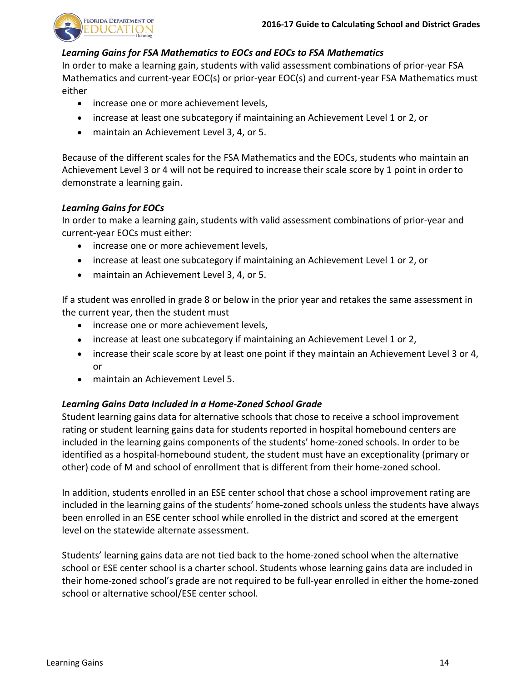

#### *Learning Gains for FSA Mathematics to EOCs and EOCs to FSA Mathematics*

In order to make a learning gain, students with valid assessment combinations of prior-year FSA Mathematics and current-year EOC(s) or prior-year EOC(s) and current-year FSA Mathematics must either

- increase one or more achievement levels,
- increase at least one subcategory if maintaining an Achievement Level 1 or 2, or
- maintain an Achievement Level 3, 4, or 5.

Because of the different scales for the FSA Mathematics and the EOCs, students who maintain an Achievement Level 3 or 4 will not be required to increase their scale score by 1 point in order to demonstrate a learning gain.

## *Learning Gains for EOCs*

In order to make a learning gain, students with valid assessment combinations of prior-year and current-year EOCs must either:

- increase one or more achievement levels,
- increase at least one subcategory if maintaining an Achievement Level 1 or 2, or
- maintain an Achievement Level 3, 4, or 5.

If a student was enrolled in grade 8 or below in the prior year and retakes the same assessment in the current year, then the student must

- increase one or more achievement levels,
- increase at least one subcategory if maintaining an Achievement Level 1 or 2,
- increase their scale score by at least one point if they maintain an Achievement Level 3 or 4, or
- maintain an Achievement Level 5.

## *Learning Gains Data Included in a Home-Zoned School Grade*

Student learning gains data for alternative schools that chose to receive a school improvement rating or student learning gains data for students reported in hospital homebound centers are included in the learning gains components of the students' home-zoned schools. In order to be identified as a hospital-homebound student, the student must have an exceptionality (primary or other) code of M and school of enrollment that is different from their home-zoned school.

In addition, students enrolled in an ESE center school that chose a school improvement rating are included in the learning gains of the students' home-zoned schools unless the students have always been enrolled in an ESE center school while enrolled in the district and scored at the emergent level on the statewide alternate assessment.

Students' learning gains data are not tied back to the home-zoned school when the alternative school or ESE center school is a charter school. Students whose learning gains data are included in their home-zoned school's grade are not required to be full-year enrolled in either the home-zoned school or alternative school/ESE center school.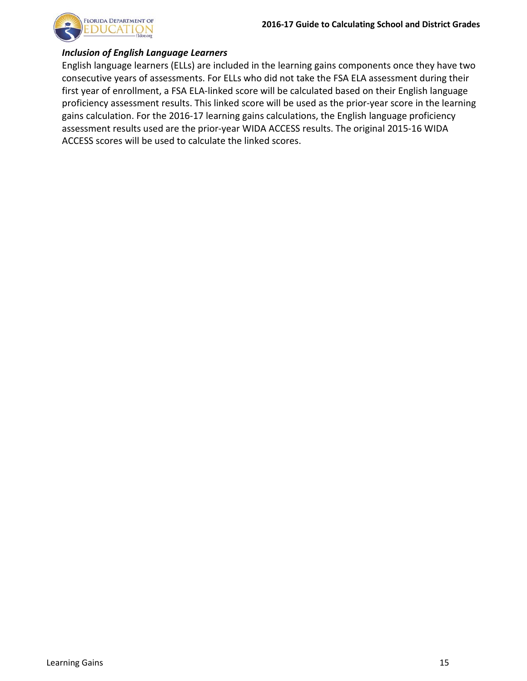

#### *Inclusion of English Language Learners*

English language learners (ELLs) are included in the learning gains components once they have two consecutive years of assessments. For ELLs who did not take the FSA ELA assessment during their first year of enrollment, a FSA ELA-linked score will be calculated based on their English language proficiency assessment results. This linked score will be used as the prior-year score in the learning gains calculation. For the 2016-17 learning gains calculations, the English language proficiency assessment results used are the prior-year WIDA ACCESS results. The original 2015-16 WIDA ACCESS scores will be used to calculate the linked scores.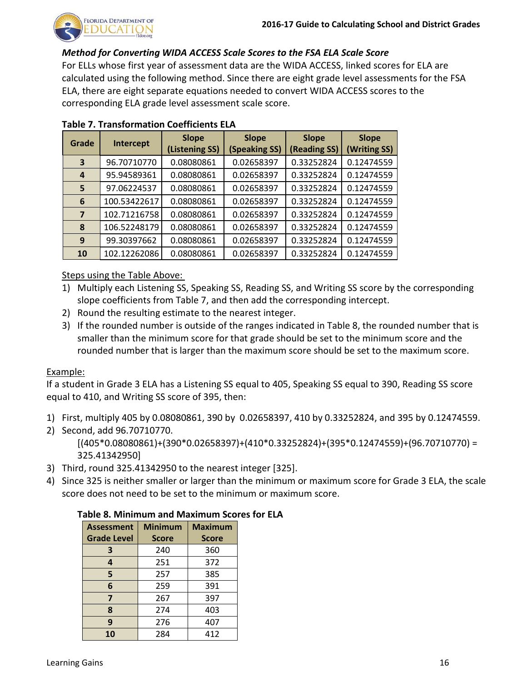

#### *Method for Converting WIDA ACCESS Scale Scores to the FSA ELA Scale Score*

For ELLs whose first year of assessment data are the WIDA ACCESS, linked scores for ELA are calculated using the following method. Since there are eight grade level assessments for the FSA ELA, there are eight separate equations needed to convert WIDA ACCESS scores to the corresponding ELA grade level assessment scale score.

| Grade                   | Intercept    | <b>Slope</b><br>(Listening SS) | <b>Slope</b><br>(Speaking SS) | <b>Slope</b><br>(Reading SS) | <b>Slope</b><br>(Writing SS) |
|-------------------------|--------------|--------------------------------|-------------------------------|------------------------------|------------------------------|
| 3                       | 96.70710770  | 0.08080861                     | 0.02658397                    | 0.33252824                   | 0.12474559                   |
| 4                       | 95.94589361  | 0.08080861                     | 0.02658397                    | 0.33252824                   | 0.12474559                   |
| 5                       | 97.06224537  | 0.08080861                     | 0.02658397                    | 0.33252824                   | 0.12474559                   |
| 6                       | 100.53422617 | 0.08080861                     | 0.02658397                    | 0.33252824                   | 0.12474559                   |
| $\overline{\mathbf{z}}$ | 102.71216758 | 0.08080861                     | 0.02658397                    | 0.33252824                   | 0.12474559                   |
| 8                       | 106.52248179 | 0.08080861                     | 0.02658397                    | 0.33252824                   | 0.12474559                   |
| 9                       | 99.30397662  | 0.08080861                     | 0.02658397                    | 0.33252824                   | 0.12474559                   |
| 10                      | 102.12262086 | 0.08080861                     | 0.02658397                    | 0.33252824                   | 0.12474559                   |

#### **Table 7. Transformation Coefficients ELA**

Steps using the Table Above:

- 1) Multiply each Listening SS, Speaking SS, Reading SS, and Writing SS score by the corresponding slope coefficients from Table 7, and then add the corresponding intercept.
- 2) Round the resulting estimate to the nearest integer.
- 3) If the rounded number is outside of the ranges indicated in Table 8, the rounded number that is smaller than the minimum score for that grade should be set to the minimum score and the rounded number that is larger than the maximum score should be set to the maximum score.

#### Example:

If a student in Grade 3 ELA has a Listening SS equal to 405, Speaking SS equal to 390, Reading SS score equal to 410, and Writing SS score of 395, then:

- 1) First, multiply 405 by 0.08080861, 390 by 0.02658397, 410 by 0.33252824, and 395 by 0.12474559.
- 2) Second, add 96.70710770.  $[(405*0.08080861)*(390*0.02658397)+(410*0.33252824)+(395*0.12474559)+(96.70710770) =$ 325.41342950]
- 3) Third, round 325.41342950 to the nearest integer [325].
- 4) Since 325 is neither smaller or larger than the minimum or maximum score for Grade 3 ELA, the scale score does not need to be set to the minimum or maximum score.

#### **Table 8. Minimum and Maximum Scores for ELA**

| <b>Assessment</b>  | <b>Minimum</b> | <b>Maximum</b> |
|--------------------|----------------|----------------|
| <b>Grade Level</b> | <b>Score</b>   | <b>Score</b>   |
| 3                  | 240            | 360            |
| 4                  | 251            | 372            |
| 5                  | 257            | 385            |
| 6                  | 259            | 391            |
| 7                  | 267            | 397            |
| 8                  | 274            | 403            |
| 9                  | 276            | 407            |
| 10                 | 284            | 412            |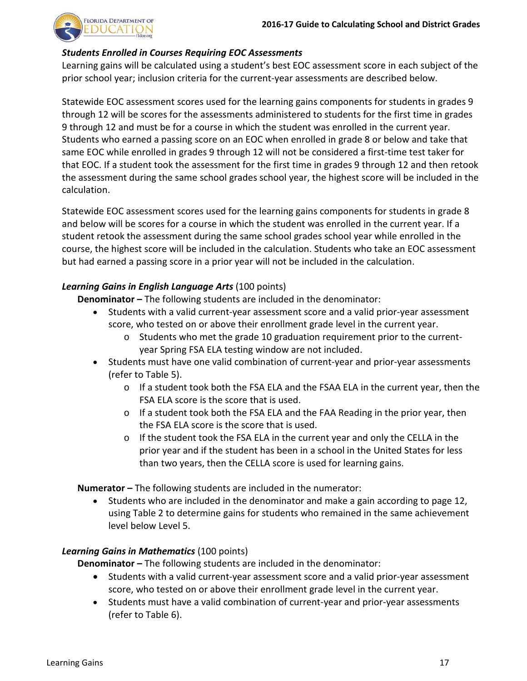

#### *Students Enrolled in Courses Requiring EOC Assessments*

Learning gains will be calculated using a student's best EOC assessment score in each subject of the prior school year; inclusion criteria for the current-year assessments are described below.

Statewide EOC assessment scores used for the learning gains components for students in grades 9 through 12 will be scores for the assessments administered to students for the first time in grades 9 through 12 and must be for a course in which the student was enrolled in the current year. Students who earned a passing score on an EOC when enrolled in grade 8 or below and take that same EOC while enrolled in grades 9 through 12 will not be considered a first-time test taker for that EOC. If a student took the assessment for the first time in grades 9 through 12 and then retook the assessment during the same school grades school year, the highest score will be included in the calculation.

Statewide EOC assessment scores used for the learning gains components for students in grade 8 and below will be scores for a course in which the student was enrolled in the current year. If a student retook the assessment during the same school grades school year while enrolled in the course, the highest score will be included in the calculation. Students who take an EOC assessment but had earned a passing score in a prior year will not be included in the calculation.

## *Learning Gains in English Language Arts* (100 points)

**Denominator –** The following students are included in the denominator:

- <span id="page-18-0"></span>• Students with a valid current-year assessment score and a valid prior-year assessment score, who tested on or above their enrollment grade level in the current year.
	- o Students who met the grade 10 graduation requirement prior to the currentyear Spring FSA ELA testing window are not included.
- Students must have one valid combination of current-year and prior-year assessments (refer to Table 5).
	- o If a student took both the FSA ELA and the FSAA ELA in the current year, then the FSA ELA score is the score that is used.
	- o If a student took both the FSA ELA and the FAA Reading in the prior year, then the FSA ELA score is the score that is used.
	- $\circ$  If the student took the FSA ELA in the current year and only the CELLA in the prior year and if the student has been in a school in the United States for less than two years, then the CELLA score is used for learning gains.

**Numerator –** The following students are included in the numerator:

• Students who are included in the denominator and make a gain according to page 12, using Table 2 to determine gains for students who remained in the same achievement level below Level 5.

## *Learning Gains in Mathematics* (100 points)

**Denominator –** The following students are included in the denominator:

- <span id="page-18-1"></span>• Students with a valid current-year assessment score and a valid prior-year assessment score, who tested on or above their enrollment grade level in the current year.
- Students must have a valid combination of current-year and prior-year assessments (refer to Table 6).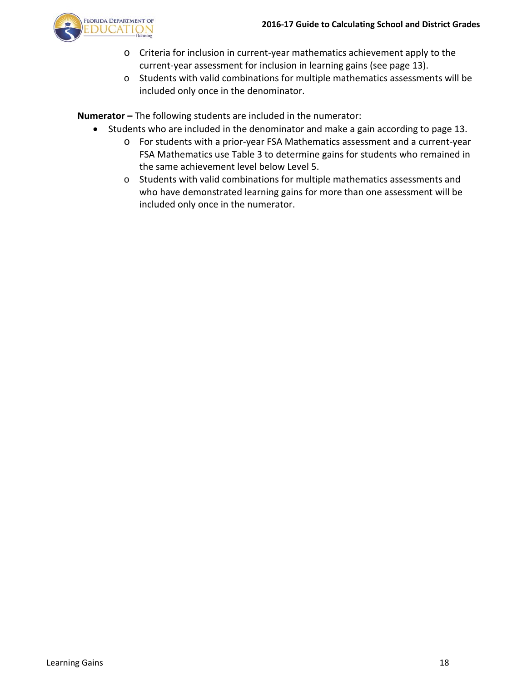

- o Criteria for inclusion in current-year mathematics achievement apply to the current-year assessment for inclusion in learning gains (see page 13).
- o Students with valid combinations for multiple mathematics assessments will be included only once in the denominator.

**Numerator –** The following students are included in the numerator:

- Students who are included in the denominator and make a gain according to page 13.
	- o For students with a prior-year FSA Mathematics assessment and a current-year FSA Mathematics use Table 3 to determine gains for students who remained in the same achievement level below Level 5.
	- o Students with valid combinations for multiple mathematics assessments and who have demonstrated learning gains for more than one assessment will be included only once in the numerator.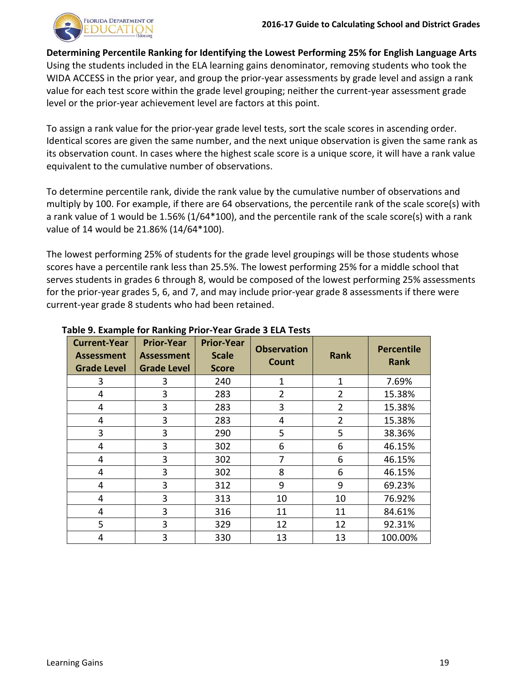

<span id="page-20-0"></span>**Determining Percentile Ranking for Identifying the Lowest Performing 25% for English Language Arts** Using the students included in the ELA learning gains denominator, removing students who took the WIDA ACCESS in the prior year, and group the prior-year assessments by grade level and assign a rank value for each test score within the grade level grouping; neither the current-year assessment grade level or the prior-year achievement level are factors at this point.

To assign a rank value for the prior-year grade level tests, sort the scale scores in ascending order. Identical scores are given the same number, and the next unique observation is given the same rank as its observation count. In cases where the highest scale score is a unique score, it will have a rank value equivalent to the cumulative number of observations.

To determine percentile rank, divide the rank value by the cumulative number of observations and multiply by 100. For example, if there are 64 observations, the percentile rank of the scale score(s) with a rank value of 1 would be 1.56% (1/64\*100), and the percentile rank of the scale score(s) with a rank value of 14 would be 21.86% (14/64\*100).

The lowest performing 25% of students for the grade level groupings will be those students whose scores have a percentile rank less than 25.5%. The lowest performing 25% for a middle school that serves students in grades 6 through 8, would be composed of the lowest performing 25% assessments for the prior-year grades 5, 6, and 7, and may include prior-year grade 8 assessments if there were current-year grade 8 students who had been retained.

| <b>Current-Year</b><br><b>Assessment</b><br><b>Grade Level</b> | <b>Prior-Year</b><br><b>Assessment</b><br><b>Grade Level</b> | <b>Prior-Year</b><br><b>Scale</b><br><b>Score</b> | <b>Observation</b><br>Count | <b>Rank</b>    | <b>Percentile</b><br><b>Rank</b> |
|----------------------------------------------------------------|--------------------------------------------------------------|---------------------------------------------------|-----------------------------|----------------|----------------------------------|
| 3                                                              | 3                                                            | 240                                               | 1                           | $\mathbf{1}$   | 7.69%                            |
| 4                                                              | 3                                                            | 283                                               | $\overline{2}$              | 2              | 15.38%                           |
| 4                                                              | 3                                                            | 283                                               | 3                           | $\overline{2}$ | 15.38%                           |
| 4                                                              | 3                                                            | 283                                               | 4                           | 2              | 15.38%                           |
| 3                                                              | 3                                                            | 290                                               | 5                           | 5              | 38.36%                           |
| 4                                                              | 3                                                            | 302                                               | 6                           | 6              | 46.15%                           |
| 4                                                              | 3                                                            | 302                                               | 7                           | 6              | 46.15%                           |
| 4                                                              | 3                                                            | 302                                               | 8                           | 6              | 46.15%                           |
| 4                                                              | 3                                                            | 312                                               | 9                           | 9              | 69.23%                           |
| 4                                                              | 3                                                            | 313                                               | 10                          | 10             | 76.92%                           |
| 4                                                              | 3                                                            | 316                                               | 11                          | 11             | 84.61%                           |
| 5                                                              | 3                                                            | 329                                               | 12                          | 12             | 92.31%                           |
| 4                                                              | 3                                                            | 330                                               | 13                          | 13             | 100.00%                          |

#### **Table 9. Example for Ranking Prior-Year Grade 3 ELA Tests**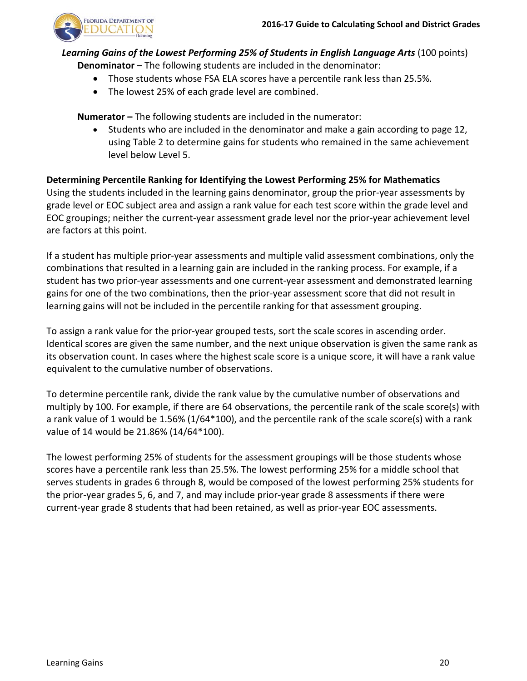

## *Learning Gains of the Lowest Performing 25% of Students in English Language Arts* (100 points) **Denominator –** The following students are included in the denominator:

- <span id="page-21-0"></span>• Those students whose FSA ELA scores have a percentile rank less than 25.5%.
- The lowest 25% of each grade level are combined.

**Numerator –** The following students are included in the numerator:

<span id="page-21-1"></span>• Students who are included in the denominator and make a gain according to page 12, using Table 2 to determine gains for students who remained in the same achievement level below Level 5.

## **Determining Percentile Ranking for Identifying the Lowest Performing 25% for Mathematics**

Using the students included in the learning gains denominator, group the prior-year assessments by grade level or EOC subject area and assign a rank value for each test score within the grade level and EOC groupings; neither the current-year assessment grade level nor the prior-year achievement level are factors at this point.

If a student has multiple prior-year assessments and multiple valid assessment combinations, only the combinations that resulted in a learning gain are included in the ranking process. For example, if a student has two prior-year assessments and one current-year assessment and demonstrated learning gains for one of the two combinations, then the prior-year assessment score that did not result in learning gains will not be included in the percentile ranking for that assessment grouping.

To assign a rank value for the prior-year grouped tests, sort the scale scores in ascending order. Identical scores are given the same number, and the next unique observation is given the same rank as its observation count. In cases where the highest scale score is a unique score, it will have a rank value equivalent to the cumulative number of observations.

To determine percentile rank, divide the rank value by the cumulative number of observations and multiply by 100. For example, if there are 64 observations, the percentile rank of the scale score(s) with a rank value of 1 would be 1.56% (1/64\*100), and the percentile rank of the scale score(s) with a rank value of 14 would be 21.86% (14/64\*100).

The lowest performing 25% of students for the assessment groupings will be those students whose scores have a percentile rank less than 25.5%. The lowest performing 25% for a middle school that serves students in grades 6 through 8, would be composed of the lowest performing 25% students for the prior-year grades 5, 6, and 7, and may include prior-year grade 8 assessments if there were current-year grade 8 students that had been retained, as well as prior-year EOC assessments.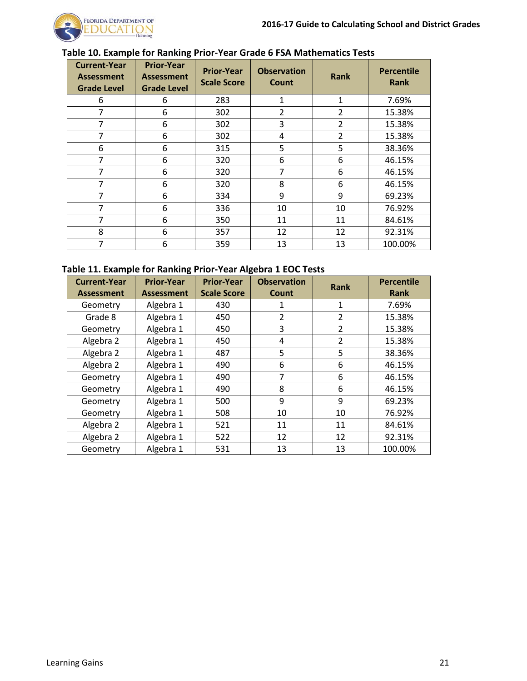

| <b>Current-Year</b><br><b>Assessment</b><br><b>Grade Level</b> | <b>Prior-Year</b><br><b>Assessment</b><br><b>Grade Level</b> | <b>Prior-Year</b><br><b>Scale Score</b> | <b>Observation</b><br>Count | <b>Rank</b>    | <b>Percentile</b><br><b>Rank</b> |
|----------------------------------------------------------------|--------------------------------------------------------------|-----------------------------------------|-----------------------------|----------------|----------------------------------|
| 6                                                              | 6                                                            | 283                                     | 1                           | 1              | 7.69%                            |
| 7                                                              | 6                                                            | 302                                     | 2                           | $\overline{2}$ | 15.38%                           |
| 7                                                              | 6                                                            | 302                                     | 3                           | $\overline{2}$ | 15.38%                           |
| 7                                                              | 6                                                            | 302                                     | 4                           | $\overline{2}$ | 15.38%                           |
| 6                                                              | 6                                                            | 315                                     | 5                           | 5              | 38.36%                           |
| 7                                                              | 6                                                            | 320                                     | 6                           | 6              | 46.15%                           |
| 7                                                              | 6                                                            | 320                                     | 7                           | 6              | 46.15%                           |
| 7                                                              | 6                                                            | 320                                     | 8                           | 6              | 46.15%                           |
| 7                                                              | 6                                                            | 334                                     | 9                           | 9              | 69.23%                           |
| 7                                                              | 6                                                            | 336                                     | 10                          | 10             | 76.92%                           |
| 7                                                              | 6                                                            | 350                                     | 11                          | 11             | 84.61%                           |
| 8                                                              | 6                                                            | 357                                     | 12                          | 12             | 92.31%                           |
| 7                                                              | 6                                                            | 359                                     | 13                          | 13             | 100.00%                          |

# **Table 10. Example for Ranking Prior-Year Grade 6 FSA Mathematics Tests**

#### **Table 11. Example for Ranking Prior-Year Algebra 1 EOC Tests**

| <b>Current-Year</b><br><b>Assessment</b> | <b>Prior-Year</b><br><b>Assessment</b> | <b>Prior-Year</b><br><b>Scale Score</b> | <b>Observation</b><br><b>Count</b> | <b>Rank</b>    | <b>Percentile</b><br>Rank |
|------------------------------------------|----------------------------------------|-----------------------------------------|------------------------------------|----------------|---------------------------|
| Geometry                                 | Algebra 1                              | 430                                     | 1                                  | 1              | 7.69%                     |
| Grade 8                                  | Algebra 1                              | 450                                     | 2                                  | 2              | 15.38%                    |
| Geometry                                 | Algebra 1                              | 450                                     | 3                                  | $\overline{2}$ | 15.38%                    |
| Algebra 2                                | Algebra 1                              | 450                                     | 4                                  | 2              | 15.38%                    |
| Algebra 2                                | Algebra 1                              | 487                                     | 5                                  | 5              | 38.36%                    |
| Algebra 2                                | Algebra 1                              | 490                                     | 6                                  | 6              | 46.15%                    |
| Geometry                                 | Algebra 1                              | 490                                     | 7                                  | 6              | 46.15%                    |
| Geometry                                 | Algebra 1                              | 490                                     | 8                                  | 6              | 46.15%                    |
| Geometry                                 | Algebra 1                              | 500                                     | 9                                  | 9              | 69.23%                    |
| Geometry                                 | Algebra 1                              | 508                                     | 10                                 | 10             | 76.92%                    |
| Algebra 2                                | Algebra 1                              | 521                                     | 11                                 | 11             | 84.61%                    |
| Algebra 2                                | Algebra 1                              | 522                                     | 12                                 | 12             | 92.31%                    |
| Geometry                                 | Algebra 1                              | 531                                     | 13                                 | 13             | 100.00%                   |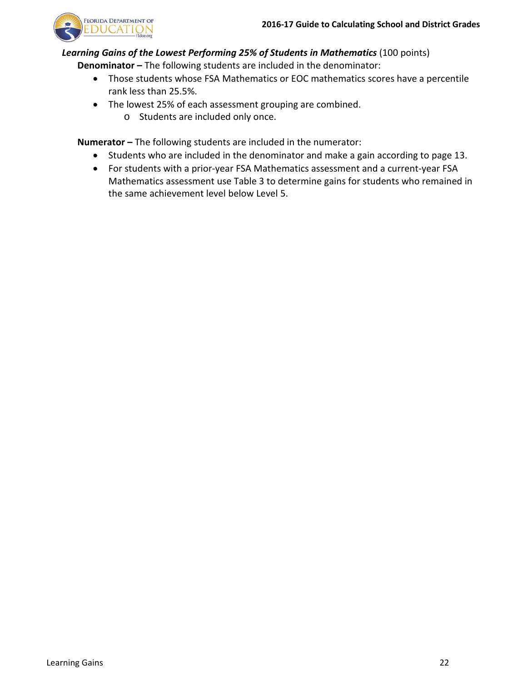

*Learning Gains of the Lowest Performing 25% of Students in Mathematics* (100 points)

**Denominator –** The following students are included in the denominator:

- <span id="page-23-0"></span>• Those students whose FSA Mathematics or EOC mathematics scores have a percentile rank less than 25.5%.
- The lowest 25% of each assessment grouping are combined.
	- o Students are included only once.

**Numerator –** The following students are included in the numerator:

- Students who are included in the denominator and make a gain according to page 13.
- For students with a prior-year FSA Mathematics assessment and a current-year FSA Mathematics assessment use Table 3 to determine gains for students who remained in the same achievement level below Level 5.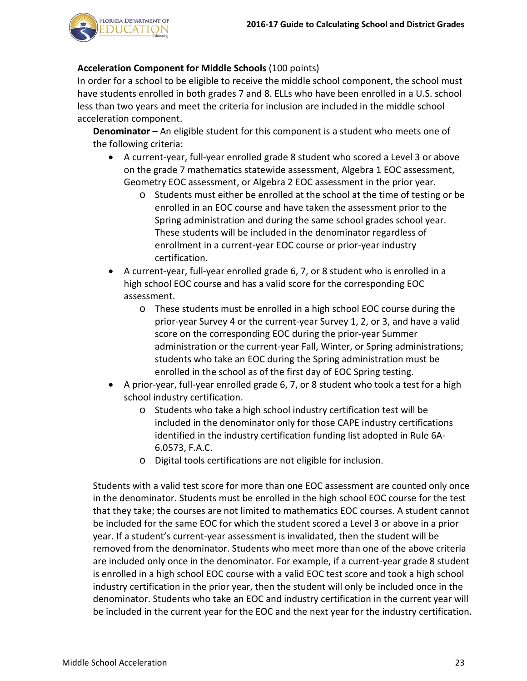

## **Acceleration Component for Middle Schools** (100 points)

In order for a school to be eligible to receive the middle school component, the school must have students enrolled in both grades 7 and 8. ELLs who have been enrolled in a U.S. school less than two years and meet the criteria for inclusion are included in the middle school acceleration component.

**Denominator –** An eligible student for this component is a student who meets one of the following criteria:

- <span id="page-24-0"></span>• A current-year, full-year enrolled grade 8 student who scored a Level 3 or above on the grade 7 mathematics statewide assessment, Algebra 1 EOC assessment, Geometry EOC assessment, or Algebra 2 EOC assessment in the prior year.
	- o Students must either be enrolled at the school at the time of testing or be enrolled in an EOC course and have taken the assessment prior to the Spring administration and during the same school grades school year. These students will be included in the denominator regardless of enrollment in a current-year EOC course or prior-year industry certification.
- A current-year, full-year enrolled grade 6, 7, or 8 student who is enrolled in a high school EOC course and has a valid score for the corresponding EOC assessment.
	- o These students must be enrolled in a high school EOC course during the prior-year Survey 4 or the current-year Survey 1, 2, or 3, and have a valid score on the corresponding EOC during the prior-year Summer administration or the current-year Fall, Winter, or Spring administrations; students who take an EOC during the Spring administration must be enrolled in the school as of the first day of EOC Spring testing.
- A prior-year, full-year enrolled grade 6, 7, or 8 student who took a test for a high school industry certification.
	- o Students who take a high school industry certification test will be included in the denominator only for those CAPE industry certifications identified in the industry certification funding list adopted in Rule 6A-6.0573, F.A.C.
	- o Digital tools certifications are not eligible for inclusion.

Students with a valid test score for more than one EOC assessment are counted only once in the denominator. Students must be enrolled in the high school EOC course for the test that they take; the courses are not limited to mathematics EOC courses. A student cannot be included for the same EOC for which the student scored a Level 3 or above in a prior year. If a student's current-year assessment is invalidated, then the student will be removed from the denominator. Students who meet more than one of the above criteria are included only once in the denominator. For example, if a current-year grade 8 student is enrolled in a high school EOC course with a valid EOC test score and took a high school industry certification in the prior year, then the student will only be included once in the denominator. Students who take an EOC and industry certification in the current year will be included in the current year for the EOC and the next year for the industry certification.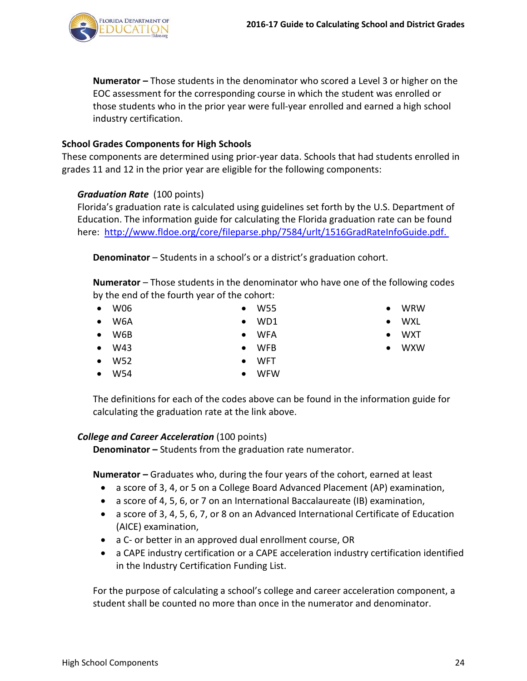**Numerator –** Those students in the denominator who scored a Level 3 or higher on the EOC assessment for the corresponding course in which the student was enrolled or those students who in the prior year were full-year enrolled and earned a high school industry certification.

# **School Grades Components for High Schools**

These components are determined using prior-year data. Schools that had students enrolled in grades 11 and 12 in the prior year are eligible for the following components:

# <span id="page-25-1"></span>*Graduation Rate* (100 points)

Florida's graduation rate is calculated using guidelines set forth by the U.S. Department of Education. The information guide for calculating the Florida graduation rate can be found here: [http://www.fldoe.org/core/fileparse.php/7584/urlt/1516GradRateInfoGuide.pdf.](http://www.fldoe.org/core/fileparse.php/7584/urlt/1516GradRateInfoGuide.pdf)

**Denominator** – Students in a school's or a district's graduation cohort.

**Numerator** – Those students in the denominator who have one of the following codes by the end of the fourth year of the cohort:

- W06 • W6A • W55 • WD1
- W6B • WFA
- W43 • WFB
- W52 • WFT
- W54 • WFW

The definitions for each of the codes above can be found in the information guide for calculating the graduation rate at the link above.

# *College and Career Acceleration* (100 points)

<span id="page-25-2"></span>**Denominator –** Students from the graduation rate numerator.

**Numerator –** Graduates who, during the four years of the cohort, earned at least

- a score of 3, 4, or 5 on a College Board Advanced Placement (AP) examination,
- a score of 4, 5, 6, or 7 on an International Baccalaureate (IB) examination,
- a score of 3, 4, 5, 6, 7, or 8 on an Advanced International Certificate of Education (AICE) examination,
- a C- or better in an approved dual enrollment course, OR
- a CAPE industry certification or a CAPE acceleration industry certification identified in the Industry Certification Funding List.

For the purpose of calculating a school's college and career acceleration component, a student shall be counted no more than once in the numerator and denominator.



- WXL
- WXT
- WXW

<span id="page-25-0"></span>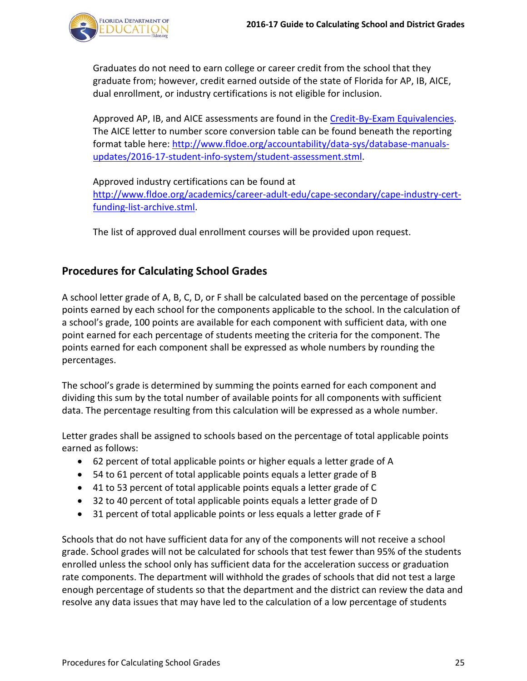

Graduates do not need to earn college or career credit from the school that they graduate from; however, credit earned outside of the state of Florida for AP, IB, AICE, dual enrollment, or industry certifications is not eligible for inclusion.

Approved AP, IB, and AICE assessments are found in the [Credit-By-Exam Equivalencies.](http://fldoe.org/core/fileparse.php/5421/urlt/0078391-acc-cbe.pdf) The AICE letter to number score conversion table can be found beneath the reporting format table here: [http://www.fldoe.org/accountability/data-sys/database-manuals](http://www.fldoe.org/accountability/data-sys/database-manuals-updates/2016-17-student-info-system/student-assessment.stml)[updates/2016-17-student-info-system/student-assessment.stml.](http://www.fldoe.org/accountability/data-sys/database-manuals-updates/2016-17-student-info-system/student-assessment.stml)

Approved industry certifications can be found at [http://www.fldoe.org/academics/career-adult-edu/cape-secondary/cape-industry-cert](http://www.fldoe.org/academics/career-adult-edu/cape-secondary/cape-industry-cert-funding-list-archive.stml)[funding-list-archive.stml.](http://www.fldoe.org/academics/career-adult-edu/cape-secondary/cape-industry-cert-funding-list-archive.stml)

<span id="page-26-0"></span>The list of approved dual enrollment courses will be provided upon request.

# **Procedures for Calculating School Grades**

A school letter grade of A, B, C, D, or F shall be calculated based on the percentage of possible points earned by each school for the components applicable to the school. In the calculation of a school's grade, 100 points are available for each component with sufficient data, with one point earned for each percentage of students meeting the criteria for the component. The points earned for each component shall be expressed as whole numbers by rounding the percentages.

The school's grade is determined by summing the points earned for each component and dividing this sum by the total number of available points for all components with sufficient data. The percentage resulting from this calculation will be expressed as a whole number.

Letter grades shall be assigned to schools based on the percentage of total applicable points earned as follows:

- 62 percent of total applicable points or higher equals a letter grade of A
- 54 to 61 percent of total applicable points equals a letter grade of B
- 41 to 53 percent of total applicable points equals a letter grade of C
- 32 to 40 percent of total applicable points equals a letter grade of D
- 31 percent of total applicable points or less equals a letter grade of F

Schools that do not have sufficient data for any of the components will not receive a school grade. School grades will not be calculated for schools that test fewer than 95% of the students enrolled unless the school only has sufficient data for the acceleration success or graduation rate components. The department will withhold the grades of schools that did not test a large enough percentage of students so that the department and the district can review the data and resolve any data issues that may have led to the calculation of a low percentage of students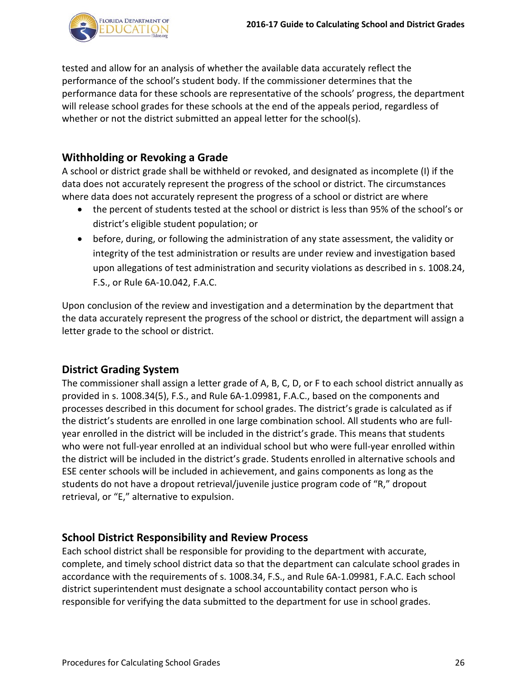

tested and allow for an analysis of whether the available data accurately reflect the performance of the school's student body. If the commissioner determines that the performance data for these schools are representative of the schools' progress, the department will release school grades for these schools at the end of the appeals period, regardless of whether or not the district submitted an appeal letter for the school(s).

# **Withholding or Revoking a Grade**

A school or district grade shall be withheld or revoked, and designated as incomplete (I) if the data does not accurately represent the progress of the school or district. The circumstances where data does not accurately represent the progress of a school or district are where

- <span id="page-27-0"></span>• the percent of students tested at the school or district is less than 95% of the school's or district's eligible student population; or
- before, during, or following the administration of any state assessment, the validity or integrity of the test administration or results are under review and investigation based upon allegations of test administration and security violations as described in s. 1008.24, F.S., or Rule 6A-10.042, F.A.C.

Upon conclusion of the review and investigation and a determination by the department that the data accurately represent the progress of the school or district, the department will assign a letter grade to the school or district.

## <span id="page-27-1"></span>**District Grading System**

The commissioner shall assign a letter grade of A, B, C, D, or F to each school district annually as provided in s. 1008.34(5), F.S., and Rule 6A-1.09981, F.A.C., based on the components and processes described in this document for school grades. The district's grade is calculated as if the district's students are enrolled in one large combination school. All students who are fullyear enrolled in the district will be included in the district's grade. This means that students who were not full-year enrolled at an individual school but who were full-year enrolled within the district will be included in the district's grade. Students enrolled in alternative schools and ESE center schools will be included in achievement, and gains components as long as the students do not have a dropout retrieval/juvenile justice program code of "R," dropout retrieval, or "E," alternative to expulsion.

## <span id="page-27-2"></span>**School District Responsibility and Review Process**

Each school district shall be responsible for providing to the department with accurate, complete, and timely school district data so that the department can calculate school grades in accordance with the requirements of s. 1008.34, F.S., and Rule 6A-1.09981, F.A.C. Each school district superintendent must designate a school accountability contact person who is responsible for verifying the data submitted to the department for use in school grades.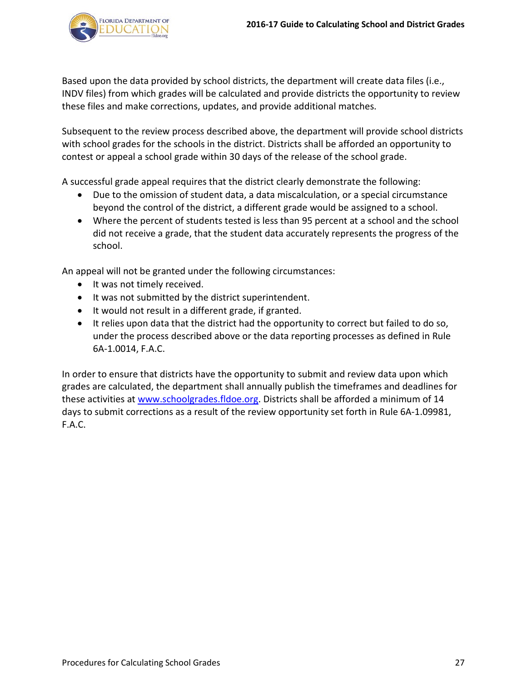

Based upon the data provided by school districts, the department will create data files (i.e., INDV files) from which grades will be calculated and provide districts the opportunity to review these files and make corrections, updates, and provide additional matches.

Subsequent to the review process described above, the department will provide school districts with school grades for the schools in the district. Districts shall be afforded an opportunity to contest or appeal a school grade within 30 days of the release of the school grade.

A successful grade appeal requires that the district clearly demonstrate the following:

- Due to the omission of student data, a data miscalculation, or a special circumstance beyond the control of the district, a different grade would be assigned to a school.
- Where the percent of students tested is less than 95 percent at a school and the school did not receive a grade, that the student data accurately represents the progress of the school.

An appeal will not be granted under the following circumstances:

- It was not timely received.
- It was not submitted by the district superintendent.
- It would not result in a different grade, if granted.
- It relies upon data that the district had the opportunity to correct but failed to do so, under the process described above or the data reporting processes as defined in Rule 6A-1.0014, F.A.C.

In order to ensure that districts have the opportunity to submit and review data upon which grades are calculated, the department shall annually publish the timeframes and deadlines for these activities at [www.schoolgrades.fldoe.org.](http://www.schoolgrades.fldoe.org/) Districts shall be afforded a minimum of 14 days to submit corrections as a result of the review opportunity set forth in Rule 6A-1.09981, F.A.C.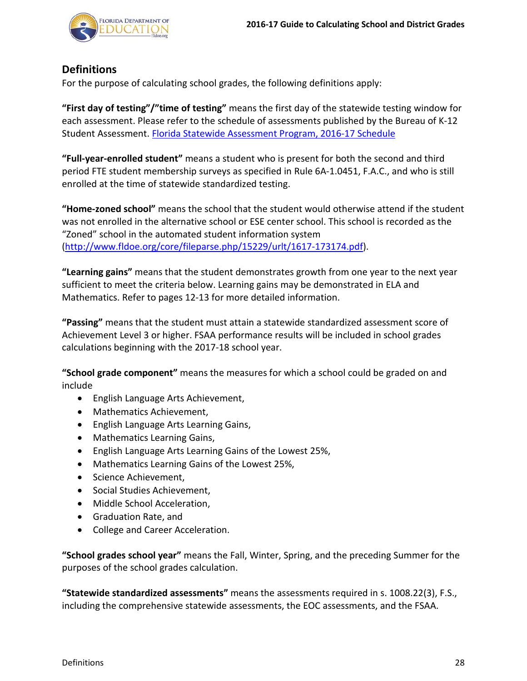

# <span id="page-29-0"></span>**Definitions**

For the purpose of calculating school grades, the following definitions apply:

**"First day of testing"/"time of testing"** means the first day of the statewide testing window for each assessment. Please refer to the schedule of assessments published by the Bureau of K-12 Student Assessment. [Florida Statewide Assessment Program, 2016-17](https://info.fldoe.org/docushare/dsweb/Get/Document-7514/dps-2015-175a.pdf) Schedule

**"Full-year-enrolled student"** means a student who is present for both the second and third period FTE student membership surveys as specified in Rule 6A-1.0451, F.A.C., and who is still enrolled at the time of statewide standardized testing.

**"Home-zoned school"** means the school that the student would otherwise attend if the student was not enrolled in the alternative school or ESE center school. This school is recorded as the "Zoned" school in the automated student information system [\(http://www.fldoe.org/core/fileparse.php/15229/urlt/1617-173174.pdf\)](http://www.fldoe.org/core/fileparse.php/15229/urlt/1617-173174.pdf).

**"Learning gains"** means that the student demonstrates growth from one year to the next year sufficient to meet the criteria below. Learning gains may be demonstrated in ELA and Mathematics. Refer to pages 12-13 for more detailed information.

**"Passing"** means that the student must attain a statewide standardized assessment score of Achievement Level 3 or higher. FSAA performance results will be included in school grades calculations beginning with the 2017-18 school year.

**"School grade component"** means the measures for which a school could be graded on and include

- English Language Arts Achievement,
- Mathematics Achievement,
- English Language Arts Learning Gains,
- Mathematics Learning Gains,
- English Language Arts Learning Gains of the Lowest 25%,
- Mathematics Learning Gains of the Lowest 25%,
- Science Achievement,
- Social Studies Achievement,
- Middle School Acceleration,
- Graduation Rate, and
- College and Career Acceleration.

**"School grades school year"** means the Fall, Winter, Spring, and the preceding Summer for the purposes of the school grades calculation.

**"Statewide standardized assessments"** means the assessments required in s. 1008.22(3), F.S., including the comprehensive statewide assessments, the EOC assessments, and the FSAA.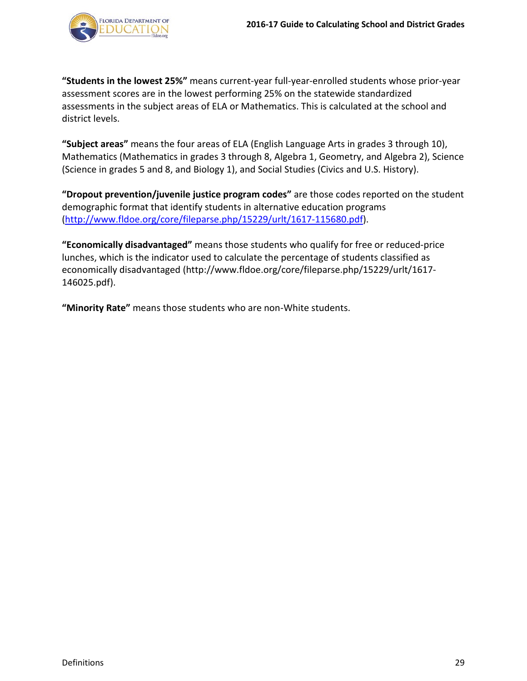

**"Students in the lowest 25%"** means current-year full-year-enrolled students whose prior-year assessment scores are in the lowest performing 25% on the statewide standardized assessments in the subject areas of ELA or Mathematics. This is calculated at the school and district levels.

**"Subject areas"** means the four areas of ELA (English Language Arts in grades 3 through 10), Mathematics (Mathematics in grades 3 through 8, Algebra 1, Geometry, and Algebra 2), Science (Science in grades 5 and 8, and Biology 1), and Social Studies (Civics and U.S. History).

**"Dropout prevention/juvenile justice program codes"** are those codes reported on the student demographic format that identify students in alternative education programs [\(http://www.fldoe.org/core/fileparse.php/15229/urlt/1617-115680.pdf\)](http://www.fldoe.org/core/fileparse.php/15229/urlt/1617-115680.pdf).

**"Economically disadvantaged"** means those students who qualify for free or reduced-price lunches, which is the indicator used to calculate the percentage of students classified as economically disadvantaged (http://www.fldoe.org/core/fileparse.php/15229/urlt/1617- 146025.pdf).

**"Minority Rate"** means those students who are non-White students.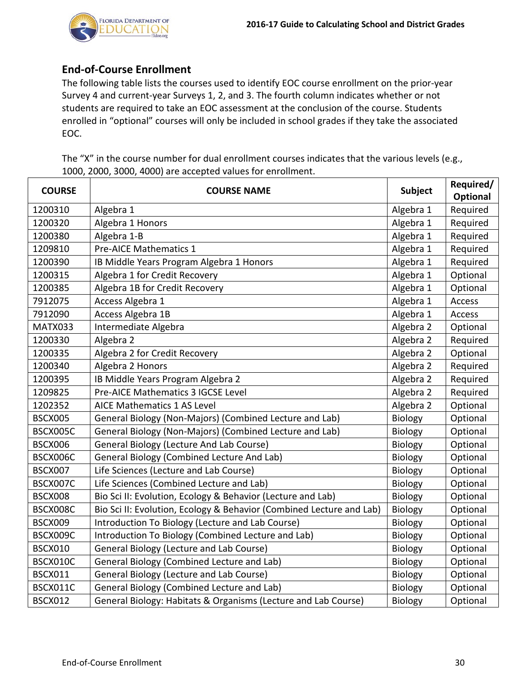

# <span id="page-31-0"></span>**End-of-Course Enrollment**

The following table lists the courses used to identify EOC course enrollment on the prior-year Survey 4 and current-year Surveys 1, 2, and 3. The fourth column indicates whether or not students are required to take an EOC assessment at the conclusion of the course. Students enrolled in "optional" courses will only be included in school grades if they take the associated EOC.

The "X" in the course number for dual enrollment courses indicates that the various levels (e.g., 1000, 2000, 3000, 4000) are accepted values for enrollment.

| <b>COURSE</b>  | <b>COURSE NAME</b>                                                   | Subject   | Required/ |
|----------------|----------------------------------------------------------------------|-----------|-----------|
|                |                                                                      |           | Optional  |
| 1200310        | Algebra 1                                                            | Algebra 1 | Required  |
| 1200320        | Algebra 1 Honors                                                     | Algebra 1 | Required  |
| 1200380        | Algebra 1-B                                                          | Algebra 1 | Required  |
| 1209810        | Pre-AICE Mathematics 1                                               | Algebra 1 | Required  |
| 1200390        | IB Middle Years Program Algebra 1 Honors                             | Algebra 1 | Required  |
| 1200315        | Algebra 1 for Credit Recovery                                        | Algebra 1 | Optional  |
| 1200385        | Algebra 1B for Credit Recovery                                       | Algebra 1 | Optional  |
| 7912075        | Access Algebra 1                                                     | Algebra 1 | Access    |
| 7912090        | Access Algebra 1B                                                    | Algebra 1 | Access    |
| MATX033        | Intermediate Algebra                                                 | Algebra 2 | Optional  |
| 1200330        | Algebra 2                                                            | Algebra 2 | Required  |
| 1200335        | Algebra 2 for Credit Recovery                                        | Algebra 2 | Optional  |
| 1200340        | Algebra 2 Honors                                                     | Algebra 2 | Required  |
| 1200395        | IB Middle Years Program Algebra 2                                    | Algebra 2 | Required  |
| 1209825        | Pre-AICE Mathematics 3 IGCSE Level                                   | Algebra 2 | Required  |
| 1202352        | <b>AICE Mathematics 1 AS Level</b>                                   | Algebra 2 | Optional  |
| <b>BSCX005</b> | General Biology (Non-Majors) (Combined Lecture and Lab)              | Biology   | Optional  |
| BSCX005C       | General Biology (Non-Majors) (Combined Lecture and Lab)              | Biology   | Optional  |
| <b>BSCX006</b> | General Biology (Lecture And Lab Course)                             | Biology   | Optional  |
| BSCX006C       | General Biology (Combined Lecture And Lab)                           | Biology   | Optional  |
| BSCX007        | Life Sciences (Lecture and Lab Course)                               | Biology   | Optional  |
| BSCX007C       | Life Sciences (Combined Lecture and Lab)                             | Biology   | Optional  |
| <b>BSCX008</b> | Bio Sci II: Evolution, Ecology & Behavior (Lecture and Lab)          | Biology   | Optional  |
| BSCX008C       | Bio Sci II: Evolution, Ecology & Behavior (Combined Lecture and Lab) | Biology   | Optional  |
| BSCX009        | Introduction To Biology (Lecture and Lab Course)                     | Biology   | Optional  |
| BSCX009C       | Introduction To Biology (Combined Lecture and Lab)                   | Biology   | Optional  |
| <b>BSCX010</b> | General Biology (Lecture and Lab Course)                             | Biology   | Optional  |
| BSCX010C       | General Biology (Combined Lecture and Lab)                           | Biology   | Optional  |
| <b>BSCX011</b> | General Biology (Lecture and Lab Course)                             | Biology   | Optional  |
| BSCX011C       | General Biology (Combined Lecture and Lab)                           | Biology   | Optional  |
| <b>BSCX012</b> | General Biology: Habitats & Organisms (Lecture and Lab Course)       | Biology   | Optional  |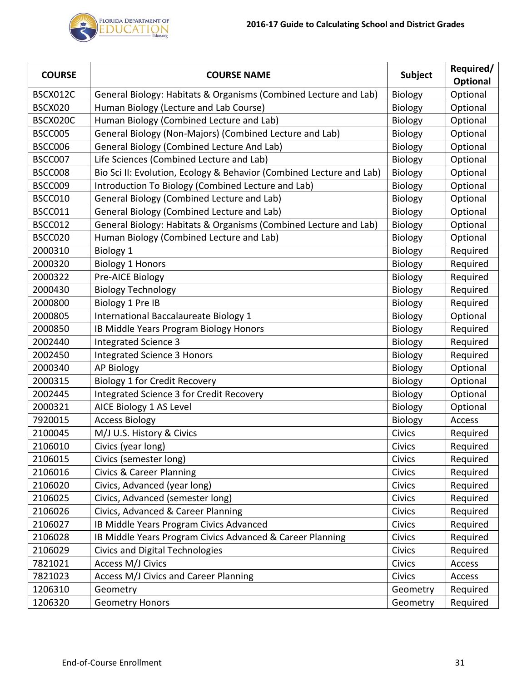

| <b>COURSE</b> | <b>COURSE NAME</b>                                                   | Subject        | Required/<br>Optional |
|---------------|----------------------------------------------------------------------|----------------|-----------------------|
| BSCX012C      | General Biology: Habitats & Organisms (Combined Lecture and Lab)     | Biology        | Optional              |
| BSCX020       | Human Biology (Lecture and Lab Course)                               | <b>Biology</b> | Optional              |
| BSCX020C      | Human Biology (Combined Lecture and Lab)                             | <b>Biology</b> | Optional              |
| BSCC005       | General Biology (Non-Majors) (Combined Lecture and Lab)              | <b>Biology</b> | Optional              |
| BSCC006       | General Biology (Combined Lecture And Lab)                           | Biology        | Optional              |
| BSCC007       | Life Sciences (Combined Lecture and Lab)                             | <b>Biology</b> | Optional              |
| BSCC008       | Bio Sci II: Evolution, Ecology & Behavior (Combined Lecture and Lab) | <b>Biology</b> | Optional              |
| BSCC009       | Introduction To Biology (Combined Lecture and Lab)                   | <b>Biology</b> | Optional              |
| BSCC010       | General Biology (Combined Lecture and Lab)                           | Biology        | Optional              |
| BSCC011       | General Biology (Combined Lecture and Lab)                           | <b>Biology</b> | Optional              |
| BSCC012       | General Biology: Habitats & Organisms (Combined Lecture and Lab)     | Biology        | Optional              |
| BSCC020       | Human Biology (Combined Lecture and Lab)                             | Biology        | Optional              |
| 2000310       | Biology 1                                                            | <b>Biology</b> | Required              |
| 2000320       | <b>Biology 1 Honors</b>                                              | Biology        | Required              |
| 2000322       | Pre-AICE Biology                                                     | Biology        | Required              |
| 2000430       | <b>Biology Technology</b>                                            | Biology        | Required              |
| 2000800       | Biology 1 Pre IB                                                     | <b>Biology</b> | Required              |
| 2000805       | International Baccalaureate Biology 1                                | <b>Biology</b> | Optional              |
| 2000850       | IB Middle Years Program Biology Honors                               | <b>Biology</b> | Required              |
| 2002440       | Integrated Science 3                                                 | Biology        | Required              |
| 2002450       | <b>Integrated Science 3 Honors</b>                                   | <b>Biology</b> | Required              |
| 2000340       | <b>AP Biology</b>                                                    | Biology        | Optional              |
| 2000315       | <b>Biology 1 for Credit Recovery</b>                                 | <b>Biology</b> | Optional              |
| 2002445       | Integrated Science 3 for Credit Recovery                             | Biology        | Optional              |
| 2000321       | AICE Biology 1 AS Level                                              | Biology        | Optional              |
| 7920015       | <b>Access Biology</b>                                                | Biology        | Access                |
| 2100045       | M/J U.S. History & Civics                                            | Civics         | Required              |
| 2106010       | Civics (year long)                                                   | Civics         | Required              |
| 2106015       | Civics (semester long)                                               | Civics         | Required              |
| 2106016       | <b>Civics &amp; Career Planning</b>                                  | <b>Civics</b>  | Required              |
| 2106020       | Civics, Advanced (year long)                                         | <b>Civics</b>  | Required              |
| 2106025       | Civics, Advanced (semester long)                                     | Civics         | Required              |
| 2106026       | Civics, Advanced & Career Planning                                   | Civics         | Required              |
| 2106027       | IB Middle Years Program Civics Advanced                              | Civics         | Required              |
| 2106028       | IB Middle Years Program Civics Advanced & Career Planning            | Civics         | Required              |
| 2106029       | <b>Civics and Digital Technologies</b>                               | Civics         | Required              |
| 7821021       | <b>Access M/J Civics</b>                                             | Civics         | Access                |
| 7821023       | Access M/J Civics and Career Planning                                | Civics         | Access                |
| 1206310       | Geometry                                                             | Geometry       | Required              |
| 1206320       | <b>Geometry Honors</b>                                               | Geometry       | Required              |